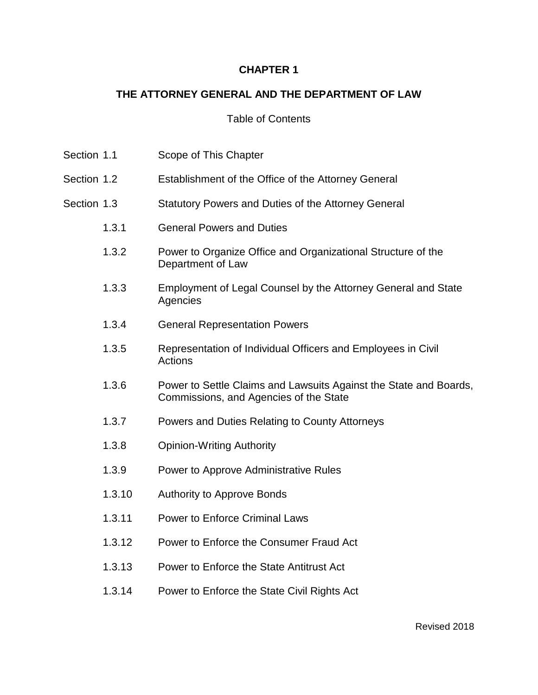## **CHAPTER 1**

# **THE ATTORNEY GENERAL AND THE DEPARTMENT OF LAW**

## Table of Contents

| Section 1.1 |        | Scope of This Chapter                                                                                       |
|-------------|--------|-------------------------------------------------------------------------------------------------------------|
| Section 1.2 |        | Establishment of the Office of the Attorney General                                                         |
| Section 1.3 |        | Statutory Powers and Duties of the Attorney General                                                         |
|             | 1.3.1  | <b>General Powers and Duties</b>                                                                            |
|             | 1.3.2  | Power to Organize Office and Organizational Structure of the<br>Department of Law                           |
|             | 1.3.3  | Employment of Legal Counsel by the Attorney General and State<br>Agencies                                   |
|             | 1.3.4  | <b>General Representation Powers</b>                                                                        |
|             | 1.3.5  | Representation of Individual Officers and Employees in Civil<br>Actions                                     |
|             | 1.3.6  | Power to Settle Claims and Lawsuits Against the State and Boards,<br>Commissions, and Agencies of the State |
|             | 1.3.7  | Powers and Duties Relating to County Attorneys                                                              |
|             | 1.3.8  | <b>Opinion-Writing Authority</b>                                                                            |
|             | 1.3.9  | Power to Approve Administrative Rules                                                                       |
|             | 1.3.10 | <b>Authority to Approve Bonds</b>                                                                           |
|             | 1.3.11 | <b>Power to Enforce Criminal Laws</b>                                                                       |
|             | 1.3.12 | Power to Enforce the Consumer Fraud Act                                                                     |
|             | 1.3.13 | Power to Enforce the State Antitrust Act                                                                    |
|             | 1.3.14 | Power to Enforce the State Civil Rights Act                                                                 |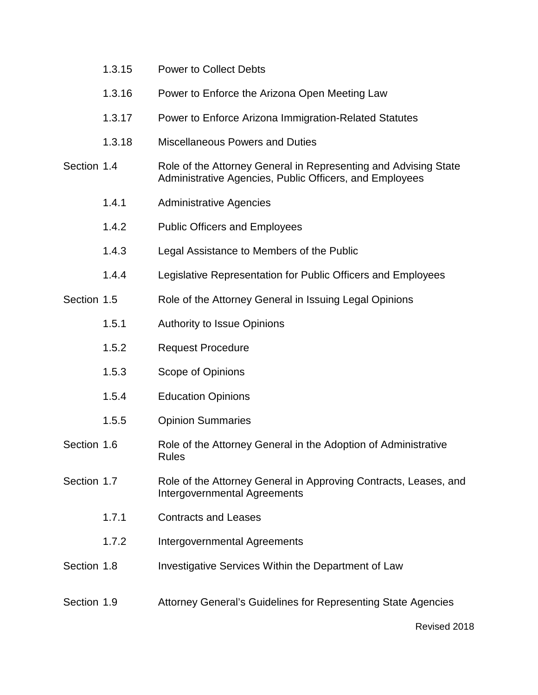|             | 1.3.16 | Power to Enforce the Arizona Open Meeting Law                                                                              |
|-------------|--------|----------------------------------------------------------------------------------------------------------------------------|
|             | 1.3.17 | Power to Enforce Arizona Immigration-Related Statutes                                                                      |
|             | 1.3.18 | <b>Miscellaneous Powers and Duties</b>                                                                                     |
| Section 1.4 |        | Role of the Attorney General in Representing and Advising State<br>Administrative Agencies, Public Officers, and Employees |
|             | 1.4.1  | <b>Administrative Agencies</b>                                                                                             |
|             | 1.4.2  | <b>Public Officers and Employees</b>                                                                                       |
|             | 1.4.3  | Legal Assistance to Members of the Public                                                                                  |
|             | 1.4.4  | Legislative Representation for Public Officers and Employees                                                               |
| Section 1.5 |        | Role of the Attorney General in Issuing Legal Opinions                                                                     |
|             | 1.5.1  | <b>Authority to Issue Opinions</b>                                                                                         |
|             | 1.5.2  | <b>Request Procedure</b>                                                                                                   |
|             | 1.5.3  | Scope of Opinions                                                                                                          |
|             | 1.5.4  | <b>Education Opinions</b>                                                                                                  |
|             | 1.5.5  | <b>Opinion Summaries</b>                                                                                                   |
| Section 1.6 |        | Role of the Attorney General in the Adoption of Administrative<br><b>Rules</b>                                             |
| Section 1.7 |        | Role of the Attorney General in Approving Contracts, Leases, and<br>Intergovernmental Agreements                           |
|             | 1.7.1  | <b>Contracts and Leases</b>                                                                                                |
|             | 1.7.2  | Intergovernmental Agreements                                                                                               |
| Section 1.8 |        | Investigative Services Within the Department of Law                                                                        |
| Section 1.9 |        | Attorney General's Guidelines for Representing State Agencies                                                              |
|             |        | Revised 2018                                                                                                               |

1.3.15 Power to Collect Debts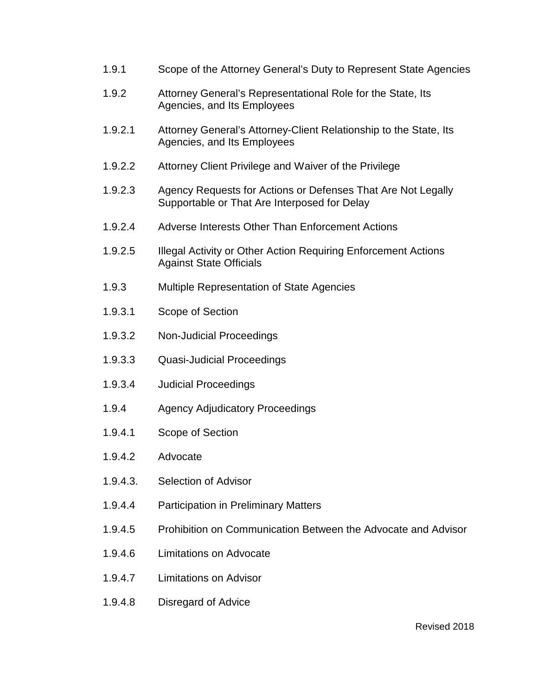- 1.9.1 Scope of the Attorney General's Duty to Represent State Agencies
- 1.9.2 Attorney General's Representational Role for the State, Its Agencies, and Its Employees
- 1.9.2.1 Attorney General's Attorney-Client Relationship to the State, Its Agencies, and Its Employees
- 1.9.2.2 Attorney Client Privilege and Waiver of the Privilege
- 1.9.2.3 Agency Requests for Actions or Defenses That Are Not Legally Supportable or That Are Interposed for Delay
- 1.9.2.4 Adverse Interests Other Than Enforcement Actions
- 1.9.2.5 Illegal Activity or Other Action Requiring Enforcement Actions Against State Officials
- 1.9.3 Multiple Representation of State Agencies
- 1.9.3.1 Scope of Section
- 1.9.3.2 Non-Judicial Proceedings
- 1.9.3.3 Quasi-Judicial Proceedings
- 1.9.3.4 Judicial Proceedings
- 1.9.4 Agency Adjudicatory Proceedings
- 1.9.4.1 Scope of Section
- 1.9.4.2 Advocate
- 1.9.4.3. Selection of Advisor
- 1.9.4.4 Participation in Preliminary Matters
- 1.9.4.5 Prohibition on Communication Between the Advocate and Advisor
- 1.9.4.6 Limitations on Advocate
- 1.9.4.7 Limitations on Advisor
- 1.9.4.8 Disregard of Advice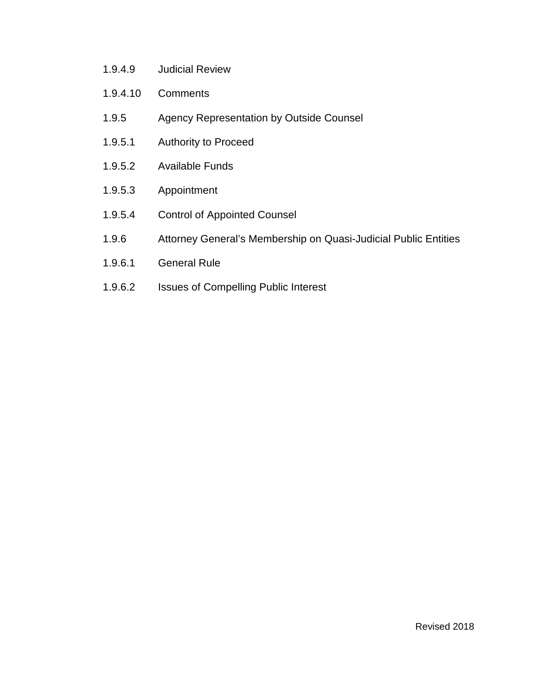- 1.9.4.9 Judicial Review
- 1.9.4.10 Comments
- 1.9.5 Agency Representation by Outside Counsel
- 1.9.5.1 Authority to Proceed
- 1.9.5.2 Available Funds
- 1.9.5.3 Appointment
- 1.9.5.4 Control of Appointed Counsel
- 1.9.6 Attorney General's Membership on Quasi-Judicial Public Entities
- 1.9.6.1 General Rule
- 1.9.6.2 Issues of Compelling Public Interest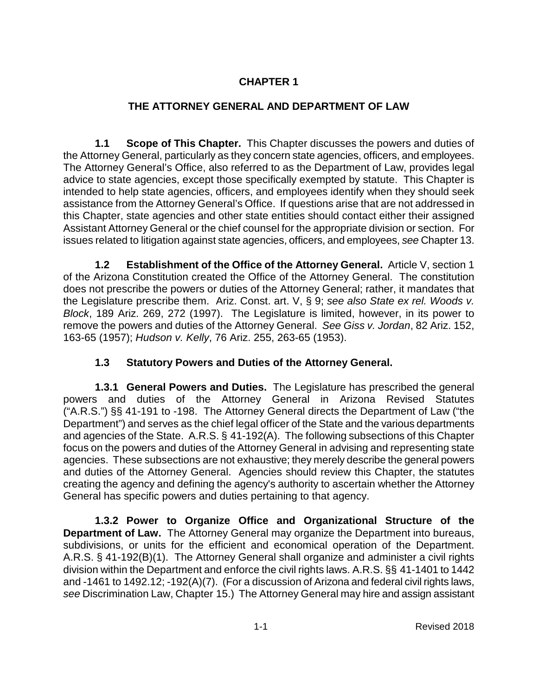## **CHAPTER 1**

## **THE ATTORNEY GENERAL AND DEPARTMENT OF LAW**

**1.1 Scope of This Chapter.** This Chapter discusses the powers and duties of the Attorney General, particularly as they concern state agencies, officers, and employees. The Attorney General's Office, also referred to as the Department of Law, provides legal advice to state agencies, except those specifically exempted by statute. This Chapter is intended to help state agencies, officers, and employees identify when they should seek assistance from the Attorney General's Office. If questions arise that are not addressed in this Chapter, state agencies and other state entities should contact either their assigned Assistant Attorney General or the chief counsel for the appropriate division or section. For issues related to litigation against state agencies, officers, and employees, *see* Chapter 13.

**1.2 Establishment of the Office of the Attorney General.** Article V, section 1 of the Arizona Constitution created the Office of the Attorney General. The constitution does not prescribe the powers or duties of the Attorney General; rather, it mandates that the Legislature prescribe them. Ariz. Const. art. V, § 9; *see also State ex rel. Woods v. Block*, 189 Ariz. 269, 272 (1997). The Legislature is limited, however, in its power to remove the powers and duties of the Attorney General. *See Giss v. Jordan*, 82 Ariz. 152, 163-65 (1957); *Hudson v. Kelly*, 76 Ariz. 255, 263-65 (1953).

## **1.3 Statutory Powers and Duties of the Attorney General.**

**1.3.1 General Powers and Duties.** The Legislature has prescribed the general powers and duties of the Attorney General in Arizona Revised Statutes ("A.R.S.") §§ 41-191 to -198. The Attorney General directs the Department of Law ("the Department") and serves as the chief legal officer of the State and the various departments and agencies of the State. A.R.S. § 41-192(A). The following subsections of this Chapter focus on the powers and duties of the Attorney General in advising and representing state agencies. These subsections are not exhaustive; they merely describe the general powers and duties of the Attorney General. Agencies should review this Chapter, the statutes creating the agency and defining the agency's authority to ascertain whether the Attorney General has specific powers and duties pertaining to that agency.

**1.3.2 Power to Organize Office and Organizational Structure of the Department of Law.** The Attorney General may organize the Department into bureaus, subdivisions, or units for the efficient and economical operation of the Department. A.R.S. § 41-192(B)(1). The Attorney General shall organize and administer a civil rights division within the Department and enforce the civil rights laws. A.R.S. §§ 41-1401 to 1442 and -1461 to 1492.12; -192(A)(7). (For a discussion of Arizona and federal civil rights laws, *see* Discrimination Law, Chapter 15.) The Attorney General may hire and assign assistant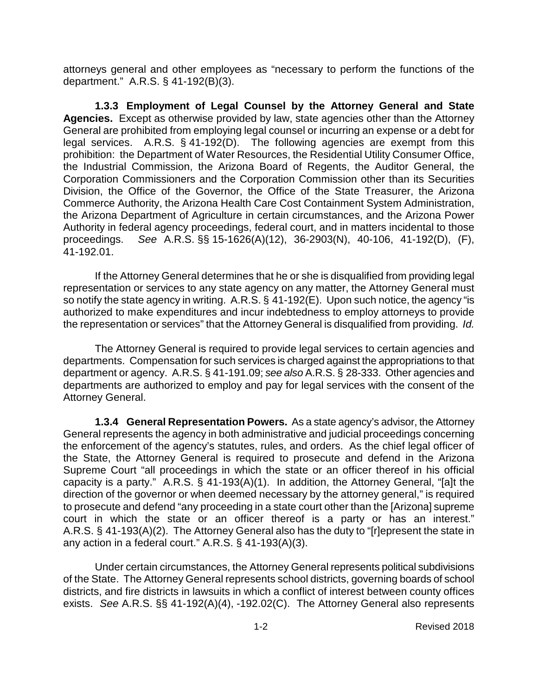attorneys general and other employees as "necessary to perform the functions of the department." A.R.S. § 41-192(B)(3).

**1.3.3 Employment of Legal Counsel by the Attorney General and State Agencies.** Except as otherwise provided by law, state agencies other than the Attorney General are prohibited from employing legal counsel or incurring an expense or a debt for legal services. A.R.S. § 41-192(D). The following agencies are exempt from this prohibition: the Department of Water Resources, the Residential Utility Consumer Office, the Industrial Commission, the Arizona Board of Regents, the Auditor General, the Corporation Commissioners and the Corporation Commission other than its Securities Division, the Office of the Governor, the Office of the State Treasurer, the Arizona Commerce Authority, the Arizona Health Care Cost Containment System Administration, the Arizona Department of Agriculture in certain circumstances, and the Arizona Power Authority in federal agency proceedings, federal court, and in matters incidental to those proceedings. *See* A.R.S. §§ 15-1626(A)(12), 36-2903(N), 40-106, 41-192(D), (F), 41-192.01.

If the Attorney General determines that he or she is disqualified from providing legal representation or services to any state agency on any matter, the Attorney General must so notify the state agency in writing. A.R.S. § 41-192(E). Upon such notice, the agency "is authorized to make expenditures and incur indebtedness to employ attorneys to provide the representation or services" that the Attorney General is disqualified from providing. *Id.*

The Attorney General is required to provide legal services to certain agencies and departments. Compensation for such services is charged against the appropriations to that department or agency. A.R.S. § 41-191.09; *see also* A.R.S. § 28-333. Other agencies and departments are authorized to employ and pay for legal services with the consent of the Attorney General.

**1.3.4 General Representation Powers.** As a state agency's advisor, the Attorney General represents the agency in both administrative and judicial proceedings concerning the enforcement of the agency's statutes, rules, and orders. As the chief legal officer of the State, the Attorney General is required to prosecute and defend in the Arizona Supreme Court "all proceedings in which the state or an officer thereof in his official capacity is a party." A.R.S. § 41-193(A)(1). In addition, the Attorney General, "[a]t the direction of the governor or when deemed necessary by the attorney general," is required to prosecute and defend "any proceeding in a state court other than the [Arizona] supreme court in which the state or an officer thereof is a party or has an interest." A.R.S. § 41-193(A)(2). The Attorney General also has the duty to "[r]epresent the state in any action in a federal court." A.R.S. § 41-193(A)(3).

Under certain circumstances, the Attorney General represents political subdivisions of the State. The Attorney General represents school districts, governing boards of school districts, and fire districts in lawsuits in which a conflict of interest between county offices exists. *See* A.R.S. §§ 41-192(A)(4), -192.02(C). The Attorney General also represents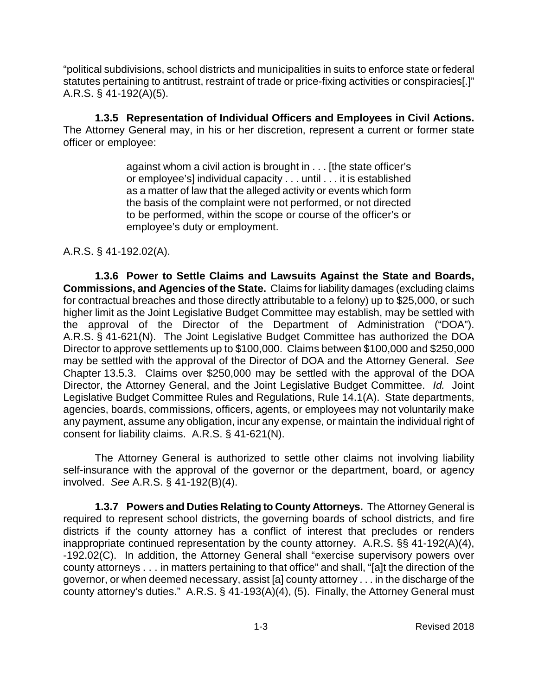"political subdivisions, school districts and municipalities in suits to enforce state or federal statutes pertaining to antitrust, restraint of trade or price-fixing activities or conspiracies[.]" A.R.S. § 41-192(A)(5).

**1.3.5 Representation of Individual Officers and Employees in Civil Actions.** The Attorney General may, in his or her discretion, represent a current or former state officer or employee:

> against whom a civil action is brought in . . . [the state officer's or employee's] individual capacity . . . until . . . it is established as a matter of law that the alleged activity or events which form the basis of the complaint were not performed, or not directed to be performed, within the scope or course of the officer's or employee's duty or employment.

A.R.S. § 41-192.02(A).

**1.3.6 Power to Settle Claims and Lawsuits Against the State and Boards, Commissions, and Agencies of the State.** Claims for liability damages (excluding claims for contractual breaches and those directly attributable to a felony) up to \$25,000, or such higher limit as the Joint Legislative Budget Committee may establish, may be settled with the approval of the Director of the Department of Administration ("DOA"). A.R.S. § 41-621(N). The Joint Legislative Budget Committee has authorized the DOA Director to approve settlements up to \$100,000. Claims between \$100,000 and \$250,000 may be settled with the approval of the Director of DOA and the Attorney General. *See* Chapter 13.5.3. Claims over \$250,000 may be settled with the approval of the DOA Director, the Attorney General, and the Joint Legislative Budget Committee. *Id.* Joint Legislative Budget Committee Rules and Regulations, Rule 14.1(A). State departments, agencies, boards, commissions, officers, agents, or employees may not voluntarily make any payment, assume any obligation, incur any expense, or maintain the individual right of consent for liability claims. A.R.S. § 41-621(N).

The Attorney General is authorized to settle other claims not involving liability self-insurance with the approval of the governor or the department, board, or agency involved. *See* A.R.S. § 41-192(B)(4).

**1.3.7 Powers and Duties Relating to County Attorneys.** The Attorney General is required to represent school districts, the governing boards of school districts, and fire districts if the county attorney has a conflict of interest that precludes or renders inappropriate continued representation by the county attorney. A.R.S. §§ 41-192(A)(4), -192.02(C). In addition, the Attorney General shall "exercise supervisory powers over county attorneys . . . in matters pertaining to that office" and shall, "[a]t the direction of the governor, or when deemed necessary, assist [a] county attorney . . . in the discharge of the county attorney's duties." A.R.S. § 41-193(A)(4), (5). Finally, the Attorney General must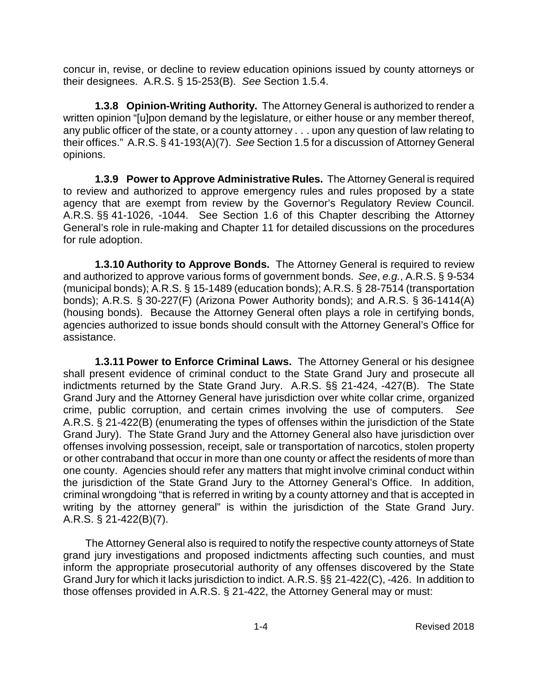concur in, revise, or decline to review education opinions issued by county attorneys or their designees. A.R.S. § 15-253(B). *See* Section 1.5.4.

**1.3.8 Opinion-Writing Authority.** The Attorney General is authorized to render a written opinion "[u]pon demand by the legislature, or either house or any member thereof, any public officer of the state, or a county attorney . . . upon any question of law relating to their offices." A.R.S. § 41-193(A)(7). *See* Section 1.5 for a discussion of Attorney General opinions.

**1.3.9 Power to Approve Administrative Rules.** The Attorney General is required to review and authorized to approve emergency rules and rules proposed by a state agency that are exempt from review by the Governor's Regulatory Review Council. A.R.S. §§ 41-1026, -1044. See Section 1.6 of this Chapter describing the Attorney General's role in rule-making and Chapter 11 for detailed discussions on the procedures for rule adoption.

**1.3.10 Authority to Approve Bonds.** The Attorney General is required to review and authorized to approve various forms of government bonds. *See*, *e.g.*, A.R.S. § 9-534 (municipal bonds); A.R.S. § 15-1489 (education bonds); A.R.S. § 28-7514 (transportation bonds); A.R.S. § 30-227(F) (Arizona Power Authority bonds); and A.R.S. § 36-1414(A) (housing bonds). Because the Attorney General often plays a role in certifying bonds, agencies authorized to issue bonds should consult with the Attorney General's Office for assistance.

**1.3.11 Power to Enforce Criminal Laws.** The Attorney General or his designee shall present evidence of criminal conduct to the State Grand Jury and prosecute all indictments returned by the State Grand Jury. A.R.S. §§ 21-424, -427(B). The State Grand Jury and the Attorney General have jurisdiction over white collar crime, organized crime, public corruption, and certain crimes involving the use of computers. *See* A.R.S. § 21-422(B) (enumerating the types of offenses within the jurisdiction of the State Grand Jury). The State Grand Jury and the Attorney General also have jurisdiction over offenses involving possession, receipt, sale or transportation of narcotics, stolen property or other contraband that occur in more than one county or affect the residents of more than one county. Agencies should refer any matters that might involve criminal conduct within the jurisdiction of the State Grand Jury to the Attorney General's Office. In addition, criminal wrongdoing "that is referred in writing by a county attorney and that is accepted in writing by the attorney general" is within the jurisdiction of the State Grand Jury. A.R.S. § 21-422(B)(7).

The Attorney General also is required to notify the respective county attorneys of State grand jury investigations and proposed indictments affecting such counties, and must inform the appropriate prosecutorial authority of any offenses discovered by the State Grand Jury for which it lacks jurisdiction to indict. A.R.S. §§ 21-422(C), -426. In addition to those offenses provided in A.R.S. § 21-422, the Attorney General may or must: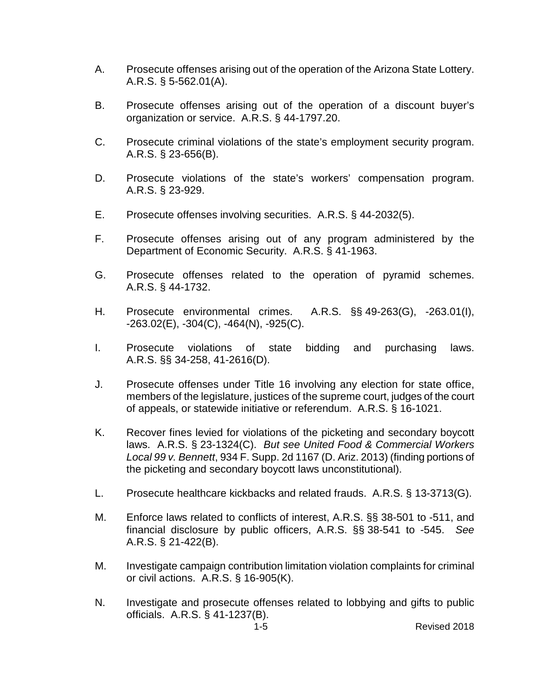- A. Prosecute offenses arising out of the operation of the Arizona State Lottery. A.R.S. § 5-562.01(A).
- B. Prosecute offenses arising out of the operation of a discount buyer's organization or service. A.R.S. § 44-1797.20.
- C. Prosecute criminal violations of the state's employment security program. A.R.S. § 23-656(B).
- D. Prosecute violations of the state's workers' compensation program. A.R.S. § 23-929.
- E. Prosecute offenses involving securities. A.R.S. § 44-2032(5).
- F. Prosecute offenses arising out of any program administered by the Department of Economic Security. A.R.S. § 41-1963.
- G. Prosecute offenses related to the operation of pyramid schemes. A.R.S. § 44-1732.
- H. Prosecute environmental crimes. A.R.S. §§ 49-263(G), -263.01(I), -263.02(E), -304(C), -464(N), -925(C).
- I. Prosecute violations of state bidding and purchasing laws. A.R.S. §§ 34-258, 41-2616(D).
- J. Prosecute offenses under Title 16 involving any election for state office, members of the legislature, justices of the supreme court, judges of the court of appeals, or statewide initiative or referendum. A.R.S. § 16-1021.
- K. Recover fines levied for violations of the picketing and secondary boycott laws. A.R.S. § 23-1324(C). *But see United Food & Commercial Workers Local 99 v. Bennett*, 934 F. Supp. 2d 1167 (D. Ariz. 2013) (finding portions of the picketing and secondary boycott laws unconstitutional).
- L. Prosecute healthcare kickbacks and related frauds. A.R.S. § 13-3713(G).
- M. Enforce laws related to conflicts of interest, A.R.S. §§ 38-501 to -511, and financial disclosure by public officers, A.R.S. §§ 38-541 to -545. *See* A.R.S. § 21-422(B).
- M. Investigate campaign contribution limitation violation complaints for criminal or civil actions. A.R.S. § 16-905(K).
- N. Investigate and prosecute offenses related to lobbying and gifts to public officials. A.R.S. § 41-1237(B).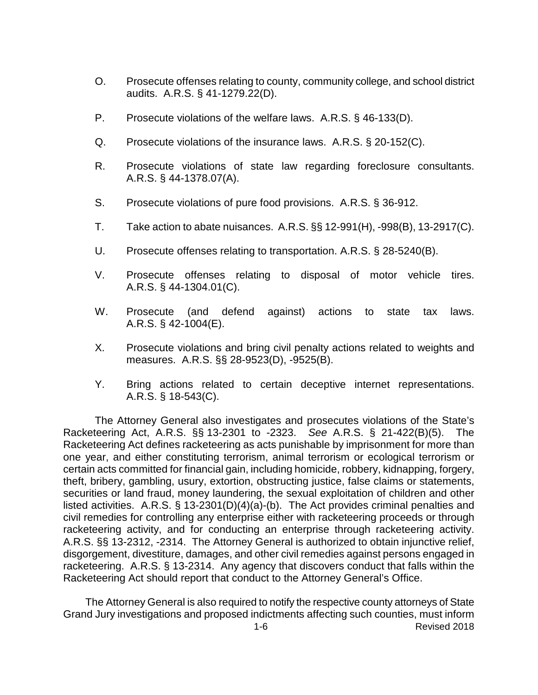- O. Prosecute offenses relating to county, community college, and school district audits. A.R.S. § 41-1279.22(D).
- P. Prosecute violations of the welfare laws. A.R.S. § 46-133(D).
- Q. Prosecute violations of the insurance laws. A.R.S. § 20-152(C).
- R. Prosecute violations of state law regarding foreclosure consultants. A.R.S. § 44-1378.07(A).
- S. Prosecute violations of pure food provisions. A.R.S. § 36-912.
- T. Take action to abate nuisances. A.R.S. §§ 12-991(H), -998(B), 13-2917(C).
- U. Prosecute offenses relating to transportation. A.R.S. § 28-5240(B).
- V. Prosecute offenses relating to disposal of motor vehicle tires. A.R.S. § 44-1304.01(C).
- W. Prosecute (and defend against) actions to state tax laws. A.R.S. § 42-1004(E).
- X. Prosecute violations and bring civil penalty actions related to weights and measures. A.R.S. §§ 28-9523(D), -9525(B).
- Y. Bring actions related to certain deceptive internet representations. A.R.S. § 18-543(C).

The Attorney General also investigates and prosecutes violations of the State's Racketeering Act, A.R.S. §§ 13-2301 to -2323. *See* A.R.S. § 21-422(B)(5). The Racketeering Act defines racketeering as acts punishable by imprisonment for more than one year, and either constituting terrorism, animal terrorism or ecological terrorism or certain acts committed for financial gain, including homicide, robbery, kidnapping, forgery, theft, bribery, gambling, usury, extortion, obstructing justice, false claims or statements, securities or land fraud, money laundering, the sexual exploitation of children and other listed activities. A.R.S. § 13-2301(D)(4)(a)-(b). The Act provides criminal penalties and civil remedies for controlling any enterprise either with racketeering proceeds or through racketeering activity, and for conducting an enterprise through racketeering activity. A.R.S. §§ 13-2312, -2314. The Attorney General is authorized to obtain injunctive relief, disgorgement, divestiture, damages, and other civil remedies against persons engaged in racketeering. A.R.S. § 13-2314. Any agency that discovers conduct that falls within the Racketeering Act should report that conduct to the Attorney General's Office.

1-6 Revised 2018 The Attorney General is also required to notify the respective county attorneys of State Grand Jury investigations and proposed indictments affecting such counties, must inform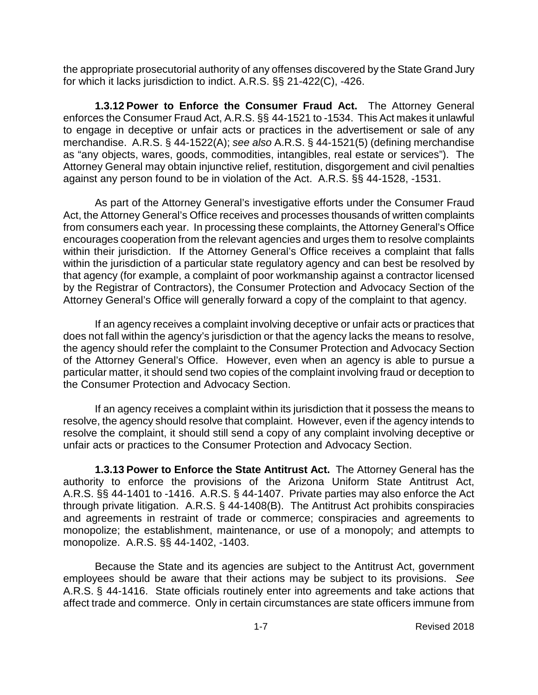the appropriate prosecutorial authority of any offenses discovered by the State Grand Jury for which it lacks jurisdiction to indict. A.R.S. §§ 21-422(C), -426.

**1.3.12 Power to Enforce the Consumer Fraud Act.** The Attorney General enforces the Consumer Fraud Act, A.R.S. §§ 44-1521 to -1534. This Act makes it unlawful to engage in deceptive or unfair acts or practices in the advertisement or sale of any merchandise. A.R.S. § 44-1522(A); *see also* A.R.S. § 44-1521(5) (defining merchandise as "any objects, wares, goods, commodities, intangibles, real estate or services"). The Attorney General may obtain injunctive relief, restitution, disgorgement and civil penalties against any person found to be in violation of the Act. A.R.S. §§ 44-1528, -1531.

As part of the Attorney General's investigative efforts under the Consumer Fraud Act, the Attorney General's Office receives and processes thousands of written complaints from consumers each year. In processing these complaints, the Attorney General's Office encourages cooperation from the relevant agencies and urges them to resolve complaints within their jurisdiction. If the Attorney General's Office receives a complaint that falls within the jurisdiction of a particular state regulatory agency and can best be resolved by that agency (for example, a complaint of poor workmanship against a contractor licensed by the Registrar of Contractors), the Consumer Protection and Advocacy Section of the Attorney General's Office will generally forward a copy of the complaint to that agency.

If an agency receives a complaint involving deceptive or unfair acts or practices that does not fall within the agency's jurisdiction or that the agency lacks the means to resolve, the agency should refer the complaint to the Consumer Protection and Advocacy Section of the Attorney General's Office. However, even when an agency is able to pursue a particular matter, it should send two copies of the complaint involving fraud or deception to the Consumer Protection and Advocacy Section.

If an agency receives a complaint within its jurisdiction that it possess the means to resolve, the agency should resolve that complaint. However, even if the agency intends to resolve the complaint, it should still send a copy of any complaint involving deceptive or unfair acts or practices to the Consumer Protection and Advocacy Section.

**1.3.13 Power to Enforce the State Antitrust Act.** The Attorney General has the authority to enforce the provisions of the Arizona Uniform State Antitrust Act, A.R.S. §§ 44-1401 to -1416. A.R.S. § 44-1407. Private parties may also enforce the Act through private litigation. A.R.S. § 44-1408(B). The Antitrust Act prohibits conspiracies and agreements in restraint of trade or commerce; conspiracies and agreements to monopolize; the establishment, maintenance, or use of a monopoly; and attempts to monopolize. A.R.S. §§ 44-1402, -1403.

Because the State and its agencies are subject to the Antitrust Act, government employees should be aware that their actions may be subject to its provisions. *See* A.R.S. § 44-1416. State officials routinely enter into agreements and take actions that affect trade and commerce. Only in certain circumstances are state officers immune from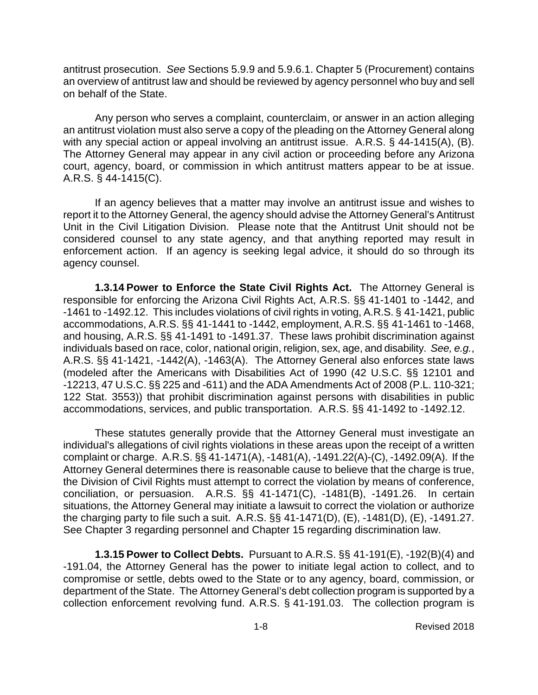antitrust prosecution. *See* Sections 5.9.9 and 5.9.6.1. Chapter 5 (Procurement) contains an overview of antitrust law and should be reviewed by agency personnel who buy and sell on behalf of the State.

Any person who serves a complaint, counterclaim, or answer in an action alleging an antitrust violation must also serve a copy of the pleading on the Attorney General along with any special action or appeal involving an antitrust issue. A.R.S. § 44-1415(A), (B). The Attorney General may appear in any civil action or proceeding before any Arizona court, agency, board, or commission in which antitrust matters appear to be at issue. A.R.S. § 44-1415(C).

If an agency believes that a matter may involve an antitrust issue and wishes to report it to the Attorney General, the agency should advise the Attorney General's Antitrust Unit in the Civil Litigation Division. Please note that the Antitrust Unit should not be considered counsel to any state agency, and that anything reported may result in enforcement action. If an agency is seeking legal advice, it should do so through its agency counsel.

**1.3.14 Power to Enforce the State Civil Rights Act.** The Attorney General is responsible for enforcing the Arizona Civil Rights Act, A.R.S. §§ 41-1401 to -1442, and -1461 to -1492.12. This includes violations of civil rights in voting, A.R.S. § 41-1421, public accommodations, A.R.S. §§ 41-1441 to -1442, employment, A.R.S. §§ 41-1461 to -1468, and housing, A.R.S. §§ 41-1491 to -1491.37. These laws prohibit discrimination against individuals based on race, color, national origin, religion, sex, age, and disability. *See, e.g.*, A.R.S. §§ 41-1421, -1442(A), -1463(A). The Attorney General also enforces state laws (modeled after the Americans with Disabilities Act of 1990 (42 U.S.C. §§ 12101 and -12213, 47 U.S.C. §§ 225 and -611) and the ADA Amendments Act of 2008 (P.L. 110-321; 122 Stat. 3553)) that prohibit discrimination against persons with disabilities in public accommodations, services, and public transportation. A.R.S. §§ 41-1492 to -1492.12.

These statutes generally provide that the Attorney General must investigate an individual's allegations of civil rights violations in these areas upon the receipt of a written complaint or charge. A.R.S. §§ 41-1471(A), -1481(A), -1491.22(A)-(C), -1492.09(A). If the Attorney General determines there is reasonable cause to believe that the charge is true, the Division of Civil Rights must attempt to correct the violation by means of conference, conciliation, or persuasion. A.R.S. §§ 41-1471(C), -1481(B), -1491.26. In certain situations, the Attorney General may initiate a lawsuit to correct the violation or authorize the charging party to file such a suit. A.R.S. §§ 41-1471(D), (E), -1481(D), (E), -1491.27. See Chapter 3 regarding personnel and Chapter 15 regarding discrimination law.

**1.3.15 Power to Collect Debts.** Pursuant to A.R.S. §§ 41-191(E), -192(B)(4) and -191.04, the Attorney General has the power to initiate legal action to collect, and to compromise or settle, debts owed to the State or to any agency, board, commission, or department of the State. The Attorney General's debt collection program is supported by a collection enforcement revolving fund. A.R.S. § 41-191.03. The collection program is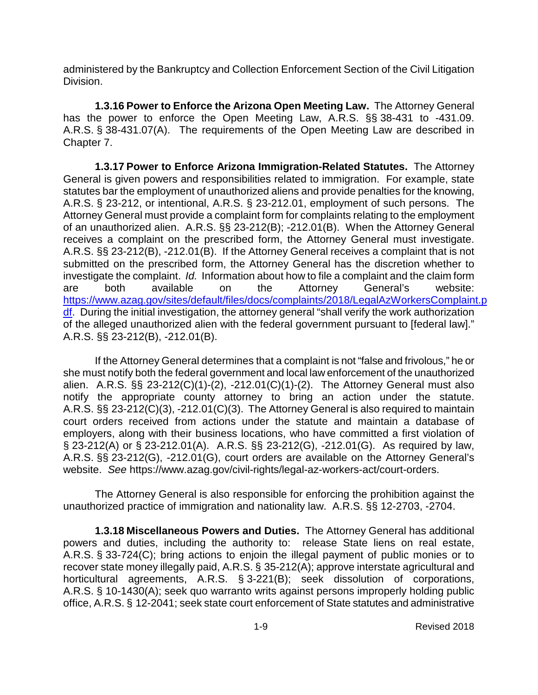administered by the Bankruptcy and Collection Enforcement Section of the Civil Litigation Division.

**1.3.16 Power to Enforce the Arizona Open Meeting Law.** The Attorney General has the power to enforce the Open Meeting Law, A.R.S. §§ 38-431 to -431.09. A.R.S. § 38-431.07(A). The requirements of the Open Meeting Law are described in Chapter 7.

**1.3.17 Power to Enforce Arizona Immigration-Related Statutes.** The Attorney General is given powers and responsibilities related to immigration. For example, state statutes bar the employment of unauthorized aliens and provide penalties for the knowing, A.R.S. § 23-212, or intentional, A.R.S. § 23-212.01, employment of such persons. The Attorney General must provide a complaint form for complaints relating to the employment of an unauthorized alien. A.R.S. §§ 23-212(B); -212.01(B). When the Attorney General receives a complaint on the prescribed form, the Attorney General must investigate. A.R.S. §§ 23-212(B), -212.01(B). If the Attorney General receives a complaint that is not submitted on the prescribed form, the Attorney General has the discretion whether to investigate the complaint. *Id.* Information about how to file a complaint and the claim form are both available on the Attorney General's website: [https://www.azag.gov/sites/default/files/docs/complaints/2018/LegalAzWorkersComplaint.p](https://www.azag.gov/sites/default/files/docs/complaints/2018/LegalAzWorkersComplaint.pdf) [df.](https://www.azag.gov/sites/default/files/docs/complaints/2018/LegalAzWorkersComplaint.pdf) During the initial investigation, the attorney general "shall verify the work authorization of the alleged unauthorized alien with the federal government pursuant to [federal law]." A.R.S. §§ 23-212(B), -212.01(B).

If the Attorney General determines that a complaint is not "false and frivolous," he or she must notify both the federal government and local law enforcement of the unauthorized alien. A.R.S. §§ 23-212(C)(1)-(2), -212.01(C)(1)-(2). The Attorney General must also notify the appropriate county attorney to bring an action under the statute. A.R.S. §§ 23-212(C)(3), -212.01(C)(3). The Attorney General is also required to maintain court orders received from actions under the statute and maintain a database of employers, along with their business locations, who have committed a first violation of § 23-212(A) or § 23-212.01(A). A.R.S. §§ 23-212(G), -212.01(G). As required by law, A.R.S. §§ 23-212(G), -212.01(G), court orders are available on the Attorney General's website. *See* https://www.azag.gov/civil-rights/legal-az-workers-act/court-orders.

The Attorney General is also responsible for enforcing the prohibition against the unauthorized practice of immigration and nationality law. A.R.S. §§ 12-2703, -2704.

**1.3.18 Miscellaneous Powers and Duties.** The Attorney General has additional powers and duties, including the authority to: release State liens on real estate, A.R.S. § 33-724(C); bring actions to enjoin the illegal payment of public monies or to recover state money illegally paid, A.R.S. § 35-212(A); approve interstate agricultural and horticultural agreements, A.R.S. § 3-221(B); seek dissolution of corporations, A.R.S. § 10-1430(A); seek quo warranto writs against persons improperly holding public office, A.R.S. § 12-2041; seek state court enforcement of State statutes and administrative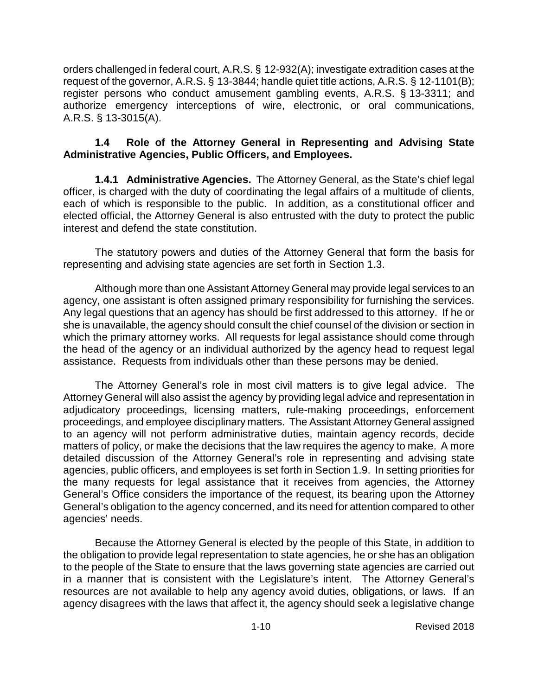orders challenged in federal court, A.R.S. § 12-932(A); investigate extradition cases at the request of the governor, A.R.S. § 13-3844; handle quiet title actions, A.R.S. § 12-1101(B); register persons who conduct amusement gambling events, A.R.S. § 13-3311; and authorize emergency interceptions of wire, electronic, or oral communications, A.R.S. § 13-3015(A).

#### **1.4 Role of the Attorney General in Representing and Advising State Administrative Agencies, Public Officers, and Employees.**

**1.4.1 Administrative Agencies.** The Attorney General, as the State's chief legal officer, is charged with the duty of coordinating the legal affairs of a multitude of clients, each of which is responsible to the public. In addition, as a constitutional officer and elected official, the Attorney General is also entrusted with the duty to protect the public interest and defend the state constitution.

The statutory powers and duties of the Attorney General that form the basis for representing and advising state agencies are set forth in Section 1.3.

Although more than one Assistant Attorney General may provide legal services to an agency, one assistant is often assigned primary responsibility for furnishing the services. Any legal questions that an agency has should be first addressed to this attorney. If he or she is unavailable, the agency should consult the chief counsel of the division or section in which the primary attorney works. All requests for legal assistance should come through the head of the agency or an individual authorized by the agency head to request legal assistance. Requests from individuals other than these persons may be denied.

The Attorney General's role in most civil matters is to give legal advice. The Attorney General will also assist the agency by providing legal advice and representation in adjudicatory proceedings, licensing matters, rule-making proceedings, enforcement proceedings, and employee disciplinary matters. The Assistant Attorney General assigned to an agency will not perform administrative duties, maintain agency records, decide matters of policy, or make the decisions that the law requires the agency to make. A more detailed discussion of the Attorney General's role in representing and advising state agencies, public officers, and employees is set forth in Section 1.9. In setting priorities for the many requests for legal assistance that it receives from agencies, the Attorney General's Office considers the importance of the request, its bearing upon the Attorney General's obligation to the agency concerned, and its need for attention compared to other agencies' needs.

Because the Attorney General is elected by the people of this State, in addition to the obligation to provide legal representation to state agencies, he or she has an obligation to the people of the State to ensure that the laws governing state agencies are carried out in a manner that is consistent with the Legislature's intent. The Attorney General's resources are not available to help any agency avoid duties, obligations, or laws. If an agency disagrees with the laws that affect it, the agency should seek a legislative change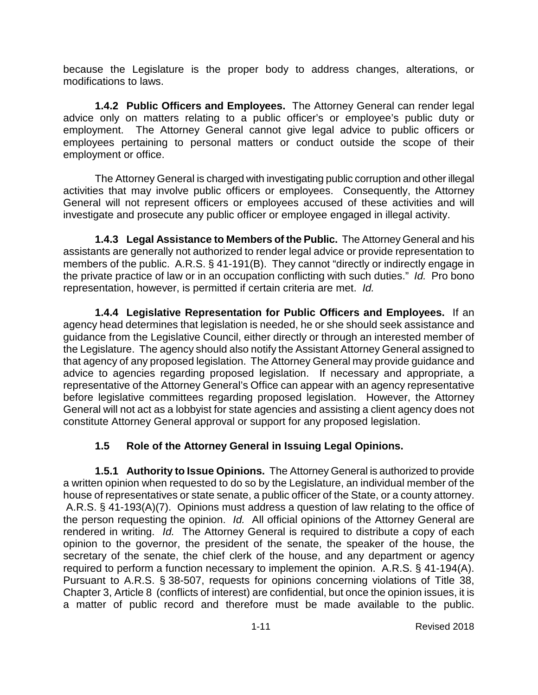because the Legislature is the proper body to address changes, alterations, or modifications to laws.

**1.4.2 Public Officers and Employees.** The Attorney General can render legal advice only on matters relating to a public officer's or employee's public duty or employment. The Attorney General cannot give legal advice to public officers or employees pertaining to personal matters or conduct outside the scope of their employment or office.

The Attorney General is charged with investigating public corruption and other illegal activities that may involve public officers or employees. Consequently, the Attorney General will not represent officers or employees accused of these activities and will investigate and prosecute any public officer or employee engaged in illegal activity.

**1.4.3 Legal Assistance to Members of the Public.** The Attorney General and his assistants are generally not authorized to render legal advice or provide representation to members of the public. A.R.S. § 41-191(B). They cannot "directly or indirectly engage in the private practice of law or in an occupation conflicting with such duties." *Id.* Pro bono representation, however, is permitted if certain criteria are met. *Id.*

**1.4.4 Legislative Representation for Public Officers and Employees.** If an agency head determines that legislation is needed, he or she should seek assistance and guidance from the Legislative Council, either directly or through an interested member of the Legislature. The agency should also notify the Assistant Attorney General assigned to that agency of any proposed legislation. The Attorney General may provide guidance and advice to agencies regarding proposed legislation. If necessary and appropriate, a representative of the Attorney General's Office can appear with an agency representative before legislative committees regarding proposed legislation. However, the Attorney General will not act as a lobbyist for state agencies and assisting a client agency does not constitute Attorney General approval or support for any proposed legislation.

## **1.5 Role of the Attorney General in Issuing Legal Opinions.**

**1.5.1 Authority to Issue Opinions.** The Attorney General is authorized to provide a written opinion when requested to do so by the Legislature, an individual member of the house of representatives or state senate, a public officer of the State, or a county attorney. A.R.S. § 41-193(A)(7). Opinions must address a question of law relating to the office of the person requesting the opinion. *Id.* All official opinions of the Attorney General are rendered in writing. *Id.* The Attorney General is required to distribute a copy of each opinion to the governor, the president of the senate, the speaker of the house, the secretary of the senate, the chief clerk of the house, and any department or agency required to perform a function necessary to implement the opinion. A.R.S. § 41-194(A). Pursuant to A.R.S. § 38-507, requests for opinions concerning violations of Title 38, Chapter 3, Article 8 (conflicts of interest) are confidential, but once the opinion issues, it is a matter of public record and therefore must be made available to the public.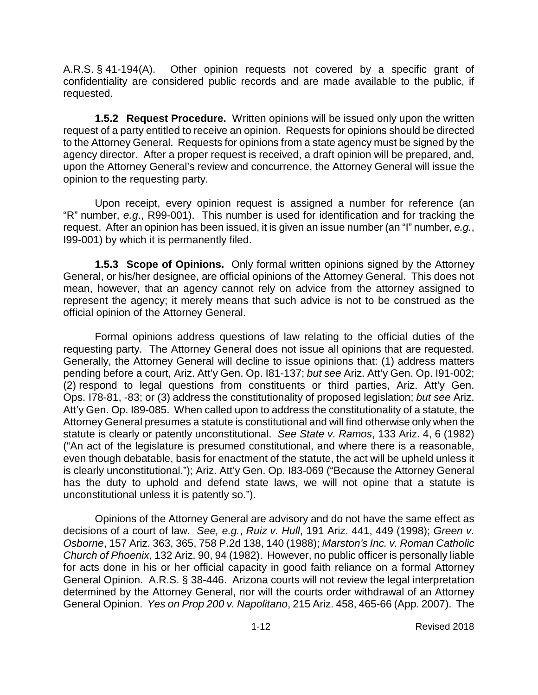A.R.S. § 41-194(A). Other opinion requests not covered by a specific grant of confidentiality are considered public records and are made available to the public, if requested.

**1.5.2 Request Procedure.** Written opinions will be issued only upon the written request of a party entitled to receive an opinion. Requests for opinions should be directed to the Attorney General. Requests for opinions from a state agency must be signed by the agency director. After a proper request is received, a draft opinion will be prepared, and, upon the Attorney General's review and concurrence, the Attorney General will issue the opinion to the requesting party.

Upon receipt, every opinion request is assigned a number for reference (an "R" number, *e.g*., R99-001). This number is used for identification and for tracking the request. After an opinion has been issued, it is given an issue number (an "I" number, *e.g.*, I99-001) by which it is permanently filed.

**1.5.3 Scope of Opinions.** Only formal written opinions signed by the Attorney General, or his/her designee, are official opinions of the Attorney General. This does not mean, however, that an agency cannot rely on advice from the attorney assigned to represent the agency; it merely means that such advice is not to be construed as the official opinion of the Attorney General.

Formal opinions address questions of law relating to the official duties of the requesting party. The Attorney General does not issue all opinions that are requested. Generally, the Attorney General will decline to issue opinions that: (1) address matters pending before a court, Ariz. Att'y Gen. Op. I81-137; *but see* Ariz. Att'y Gen. Op. I91-002; (2) respond to legal questions from constituents or third parties, Ariz. Att'y Gen. Ops. I78-81, -83; or (3) address the constitutionality of proposed legislation; *but see* Ariz. Att'y Gen. Op. I89-085. When called upon to address the constitutionality of a statute, the Attorney General presumes a statute is constitutional and will find otherwise only when the statute is clearly or patently unconstitutional. *See State v. Ramos*, 133 Ariz. 4, 6 (1982) ("An act of the legislature is presumed constitutional, and where there is a reasonable, even though debatable, basis for enactment of the statute, the act will be upheld unless it is clearly unconstitutional."); Ariz. Att'y Gen. Op. I83-069 ("Because the Attorney General has the duty to uphold and defend state laws, we will not opine that a statute is unconstitutional unless it is patently so.").

Opinions of the Attorney General are advisory and do not have the same effect as decisions of a court of law. *See, e.g.*, *Ruiz v. Hull*, 191 Ariz. 441, 449 (1998); *Green v. Osborne*, 157 Ariz. 363, 365, 758 P.2d 138, 140 (1988); *Marston's Inc. v. Roman Catholic Church of Phoenix*, 132 Ariz. 90, 94 (1982). However, no public officer is personally liable for acts done in his or her official capacity in good faith reliance on a formal Attorney General Opinion. A.R.S. § 38-446. Arizona courts will not review the legal interpretation determined by the Attorney General, nor will the courts order withdrawal of an Attorney General Opinion. *Yes on Prop 200 v. Napolitano*, 215 Ariz. 458, 465-66 (App. 2007). The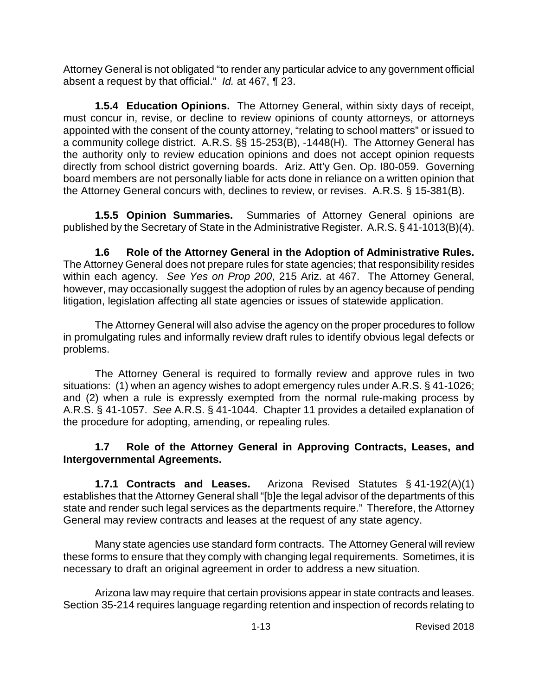Attorney General is not obligated "to render any particular advice to any government official absent a request by that official." *Id.* at 467, ¶ 23.

**1.5.4 Education Opinions.** The Attorney General, within sixty days of receipt, must concur in, revise, or decline to review opinions of county attorneys, or attorneys appointed with the consent of the county attorney, "relating to school matters" or issued to a community college district. A.R.S. §§ 15-253(B), -1448(H). The Attorney General has the authority only to review education opinions and does not accept opinion requests directly from school district governing boards. Ariz. Att'y Gen. Op. I80-059. Governing board members are not personally liable for acts done in reliance on a written opinion that the Attorney General concurs with, declines to review, or revises. A.R.S. § 15-381(B).

**1.5.5 Opinion Summaries.** Summaries of Attorney General opinions are published by the Secretary of State in the Administrative Register. A.R.S. § 41-1013(B)(4).

**1.6 Role of the Attorney General in the Adoption of Administrative Rules.**  The Attorney General does not prepare rules for state agencies; that responsibility resides within each agency. *See Yes on Prop 200*, 215 Ariz. at 467. The Attorney General, however, may occasionally suggest the adoption of rules by an agency because of pending litigation, legislation affecting all state agencies or issues of statewide application.

The Attorney General will also advise the agency on the proper procedures to follow in promulgating rules and informally review draft rules to identify obvious legal defects or problems.

The Attorney General is required to formally review and approve rules in two situations: (1) when an agency wishes to adopt emergency rules under A.R.S. § 41-1026; and (2) when a rule is expressly exempted from the normal rule-making process by A.R.S. § 41-1057. *See* A.R.S. § 41-1044. Chapter 11 provides a detailed explanation of the procedure for adopting, amending, or repealing rules.

#### **1.7 Role of the Attorney General in Approving Contracts, Leases, and Intergovernmental Agreements.**

**1.7.1 Contracts and Leases.** Arizona Revised Statutes § 41-192(A)(1) establishes that the Attorney General shall "[b]e the legal advisor of the departments of this state and render such legal services as the departments require." Therefore, the Attorney General may review contracts and leases at the request of any state agency.

Many state agencies use standard form contracts. The Attorney General will review these forms to ensure that they comply with changing legal requirements. Sometimes, it is necessary to draft an original agreement in order to address a new situation.

Arizona law may require that certain provisions appear in state contracts and leases. Section 35-214 requires language regarding retention and inspection of records relating to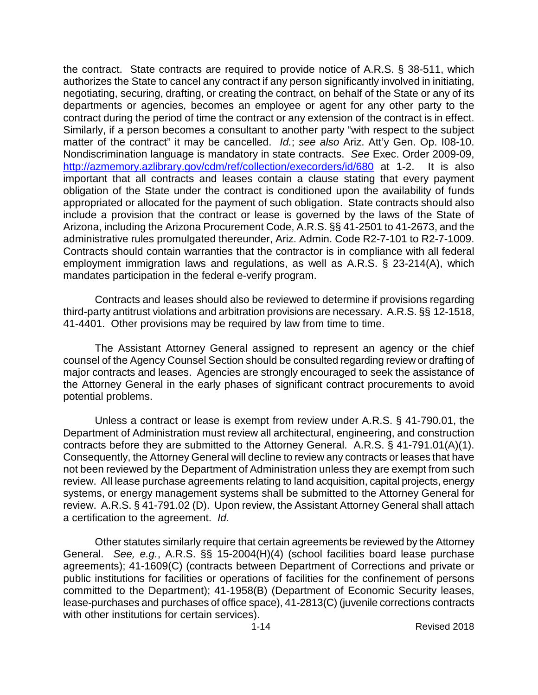the contract. State contracts are required to provide notice of A.R.S. § 38-511, which authorizes the State to cancel any contract if any person significantly involved in initiating, negotiating, securing, drafting, or creating the contract, on behalf of the State or any of its departments or agencies, becomes an employee or agent for any other party to the contract during the period of time the contract or any extension of the contract is in effect. Similarly, if a person becomes a consultant to another party "with respect to the subject matter of the contract" it may be cancelled. *Id.*; *see also* Ariz. Att'y Gen. Op. I08-10. Nondiscrimination language is mandatory in state contracts. *See* Exec. Order 2009-09, <http://azmemory.azlibrary.gov/cdm/ref/collection/execorders/id/680> at 1-2. It is also important that all contracts and leases contain a clause stating that every payment obligation of the State under the contract is conditioned upon the availability of funds appropriated or allocated for the payment of such obligation. State contracts should also include a provision that the contract or lease is governed by the laws of the State of Arizona, including the Arizona Procurement Code, A.R.S. §§ 41-2501 to 41-2673, and the administrative rules promulgated thereunder, Ariz. Admin. Code R2-7-101 to R2-7-1009. Contracts should contain warranties that the contractor is in compliance with all federal employment immigration laws and regulations, as well as A.R.S. § 23-214(A), which mandates participation in the federal e-verify program.

Contracts and leases should also be reviewed to determine if provisions regarding third-party antitrust violations and arbitration provisions are necessary. A.R.S. §§ 12-1518, 41-4401. Other provisions may be required by law from time to time.

The Assistant Attorney General assigned to represent an agency or the chief counsel of the Agency Counsel Section should be consulted regarding review or drafting of major contracts and leases. Agencies are strongly encouraged to seek the assistance of the Attorney General in the early phases of significant contract procurements to avoid potential problems.

Unless a contract or lease is exempt from review under A.R.S. § 41-790.01, the Department of Administration must review all architectural, engineering, and construction contracts before they are submitted to the Attorney General. A.R.S. § 41-791.01(A)(1). Consequently, the Attorney General will decline to review any contracts or leases that have not been reviewed by the Department of Administration unless they are exempt from such review. All lease purchase agreements relating to land acquisition, capital projects, energy systems, or energy management systems shall be submitted to the Attorney General for review. A.R.S. § 41-791.02 (D). Upon review, the Assistant Attorney General shall attach a certification to the agreement. *Id.*

Other statutes similarly require that certain agreements be reviewed by the Attorney General. *See, e.g.*, A.R.S. §§ 15-2004(H)(4) (school facilities board lease purchase agreements); 41-1609(C) (contracts between Department of Corrections and private or public institutions for facilities or operations of facilities for the confinement of persons committed to the Department); 41-1958(B) (Department of Economic Security leases, lease-purchases and purchases of office space), 41-2813(C) (juvenile corrections contracts with other institutions for certain services).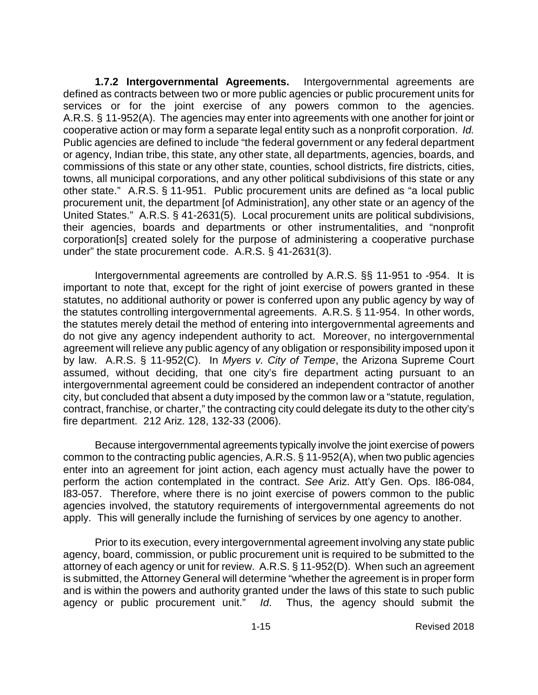**1.7.2 Intergovernmental Agreements.** Intergovernmental agreements are defined as contracts between two or more public agencies or public procurement units for services or for the joint exercise of any powers common to the agencies. A.R.S. § 11-952(A). The agencies may enter into agreements with one another for joint or cooperative action or may form a separate legal entity such as a nonprofit corporation. *Id.* Public agencies are defined to include "the federal government or any federal department or agency, Indian tribe, this state, any other state, all departments, agencies, boards, and commissions of this state or any other state, counties, school districts, fire districts, cities, towns, all municipal corporations, and any other political subdivisions of this state or any other state." A.R.S. § 11-951. Public procurement units are defined as "a local public procurement unit, the department [of Administration], any other state or an agency of the United States." A.R.S. § 41-2631(5). Local procurement units are political subdivisions, their agencies, boards and departments or other instrumentalities, and "nonprofit corporation[s] created solely for the purpose of administering a cooperative purchase under" the state procurement code. A.R.S. § 41-2631(3).

Intergovernmental agreements are controlled by A.R.S. §§ 11-951 to -954. It is important to note that, except for the right of joint exercise of powers granted in these statutes, no additional authority or power is conferred upon any public agency by way of the statutes controlling intergovernmental agreements. A.R.S. § 11-954. In other words, the statutes merely detail the method of entering into intergovernmental agreements and do not give any agency independent authority to act. Moreover, no intergovernmental agreement will relieve any public agency of any obligation or responsibility imposed upon it by law. A.R.S. § 11-952(C). In *Myers v. City of Tempe*, the Arizona Supreme Court assumed, without deciding, that one city's fire department acting pursuant to an intergovernmental agreement could be considered an independent contractor of another city, but concluded that absent a duty imposed by the common law or a "statute, regulation, contract, franchise, or charter," the contracting city could delegate its duty to the other city's fire department. 212 Ariz. 128, 132-33 (2006).

Because intergovernmental agreements typically involve the joint exercise of powers common to the contracting public agencies, A.R.S. § 11-952(A), when two public agencies enter into an agreement for joint action, each agency must actually have the power to perform the action contemplated in the contract. *See* Ariz. Att'y Gen. Ops. I86-084, I83-057. Therefore, where there is no joint exercise of powers common to the public agencies involved, the statutory requirements of intergovernmental agreements do not apply. This will generally include the furnishing of services by one agency to another.

Prior to its execution, every intergovernmental agreement involving any state public agency, board, commission, or public procurement unit is required to be submitted to the attorney of each agency or unit for review. A.R.S. § 11-952(D). When such an agreement is submitted, the Attorney General will determine "whether the agreement is in proper form and is within the powers and authority granted under the laws of this state to such public agency or public procurement unit." *Id*. Thus, the agency should submit the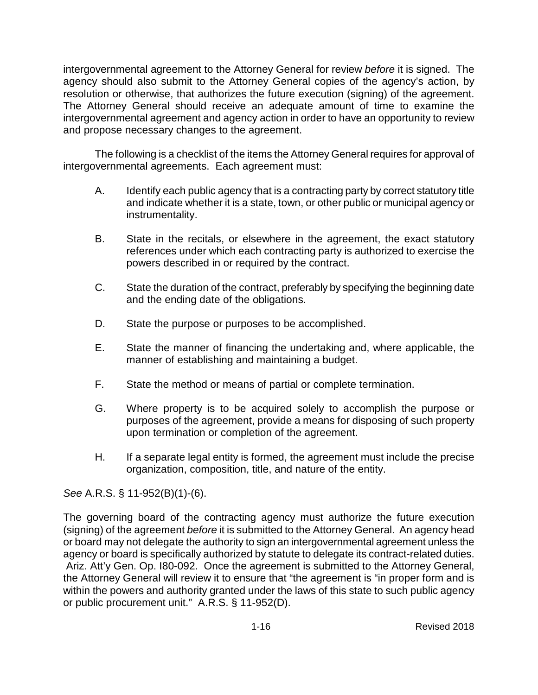intergovernmental agreement to the Attorney General for review *before* it is signed. The agency should also submit to the Attorney General copies of the agency's action, by resolution or otherwise, that authorizes the future execution (signing) of the agreement. The Attorney General should receive an adequate amount of time to examine the intergovernmental agreement and agency action in order to have an opportunity to review and propose necessary changes to the agreement.

The following is a checklist of the items the Attorney General requires for approval of intergovernmental agreements. Each agreement must:

- A. Identify each public agency that is a contracting party by correct statutory title and indicate whether it is a state, town, or other public or municipal agency or instrumentality.
- B. State in the recitals, or elsewhere in the agreement, the exact statutory references under which each contracting party is authorized to exercise the powers described in or required by the contract.
- C. State the duration of the contract, preferably by specifying the beginning date and the ending date of the obligations.
- D. State the purpose or purposes to be accomplished.
- E. State the manner of financing the undertaking and, where applicable, the manner of establishing and maintaining a budget.
- F. State the method or means of partial or complete termination.
- G. Where property is to be acquired solely to accomplish the purpose or purposes of the agreement, provide a means for disposing of such property upon termination or completion of the agreement.
- H. If a separate legal entity is formed, the agreement must include the precise organization, composition, title, and nature of the entity.

*See* A.R.S. § 11-952(B)(1)-(6).

The governing board of the contracting agency must authorize the future execution (signing) of the agreement *before* it is submitted to the Attorney General. An agency head or board may not delegate the authority to sign an intergovernmental agreement unless the agency or board is specifically authorized by statute to delegate its contract-related duties. Ariz. Att'y Gen. Op. I80-092. Once the agreement is submitted to the Attorney General, the Attorney General will review it to ensure that "the agreement is "in proper form and is within the powers and authority granted under the laws of this state to such public agency or public procurement unit." A.R.S. § 11-952(D).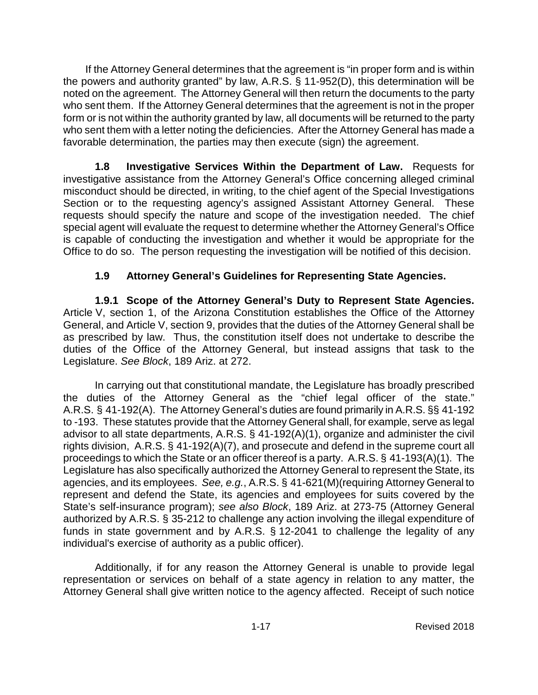If the Attorney General determines that the agreement is "in proper form and is within the powers and authority granted" by law, A.R.S. § 11-952(D), this determination will be noted on the agreement. The Attorney General will then return the documents to the party who sent them. If the Attorney General determines that the agreement is not in the proper form or is not within the authority granted by law, all documents will be returned to the party who sent them with a letter noting the deficiencies. After the Attorney General has made a favorable determination, the parties may then execute (sign) the agreement.

**1.8 Investigative Services Within the Department of Law.** Requests for investigative assistance from the Attorney General's Office concerning alleged criminal misconduct should be directed, in writing, to the chief agent of the Special Investigations Section or to the requesting agency's assigned Assistant Attorney General. These requests should specify the nature and scope of the investigation needed. The chief special agent will evaluate the request to determine whether the Attorney General's Office is capable of conducting the investigation and whether it would be appropriate for the Office to do so. The person requesting the investigation will be notified of this decision.

## **1.9 Attorney General's Guidelines for Representing State Agencies.**

**1.9.1 Scope of the Attorney General's Duty to Represent State Agencies.** Article V, section 1, of the Arizona Constitution establishes the Office of the Attorney General, and Article V, section 9, provides that the duties of the Attorney General shall be as prescribed by law. Thus, the constitution itself does not undertake to describe the duties of the Office of the Attorney General, but instead assigns that task to the Legislature. *See Block*, 189 Ariz. at 272.

In carrying out that constitutional mandate, the Legislature has broadly prescribed the duties of the Attorney General as the "chief legal officer of the state." A.R.S. § 41-192(A). The Attorney General's duties are found primarily in A.R.S. §§ 41-192 to -193. These statutes provide that the Attorney General shall, for example, serve as legal advisor to all state departments, A.R.S. § 41-192(A)(1), organize and administer the civil rights division, A.R.S. § 41-192(A)(7), and prosecute and defend in the supreme court all proceedings to which the State or an officer thereof is a party. A.R.S. § 41-193(A)(1). The Legislature has also specifically authorized the Attorney General to represent the State, its agencies, and its employees. *See, e.g.*, A.R.S. § 41-621(M)(requiring Attorney General to represent and defend the State, its agencies and employees for suits covered by the State's self-insurance program); *see also Block*, 189 Ariz. at 273-75 (Attorney General authorized by A.R.S. § 35-212 to challenge any action involving the illegal expenditure of funds in state government and by A.R.S. § 12-2041 to challenge the legality of any individual's exercise of authority as a public officer).

Additionally, if for any reason the Attorney General is unable to provide legal representation or services on behalf of a state agency in relation to any matter, the Attorney General shall give written notice to the agency affected. Receipt of such notice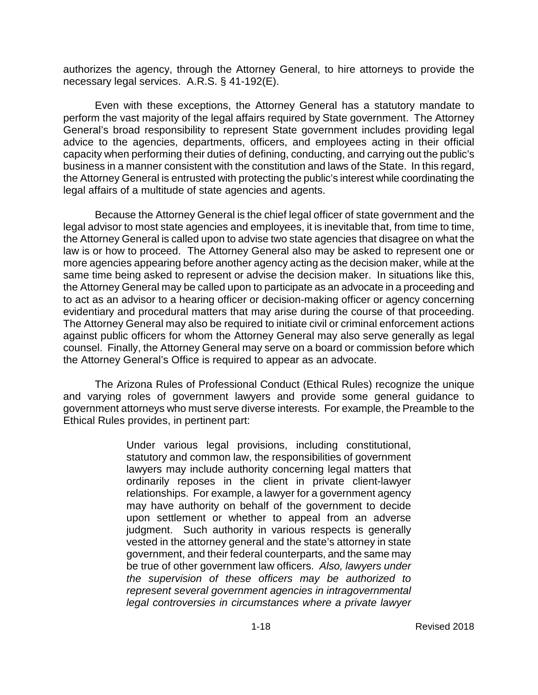authorizes the agency, through the Attorney General, to hire attorneys to provide the necessary legal services. A.R.S. § 41-192(E).

Even with these exceptions, the Attorney General has a statutory mandate to perform the vast majority of the legal affairs required by State government. The Attorney General's broad responsibility to represent State government includes providing legal advice to the agencies, departments, officers, and employees acting in their official capacity when performing their duties of defining, conducting, and carrying out the public's business in a manner consistent with the constitution and laws of the State. In this regard, the Attorney General is entrusted with protecting the public's interest while coordinating the legal affairs of a multitude of state agencies and agents.

Because the Attorney General is the chief legal officer of state government and the legal advisor to most state agencies and employees, it is inevitable that, from time to time, the Attorney General is called upon to advise two state agencies that disagree on what the law is or how to proceed. The Attorney General also may be asked to represent one or more agencies appearing before another agency acting as the decision maker, while at the same time being asked to represent or advise the decision maker. In situations like this, the Attorney General may be called upon to participate as an advocate in a proceeding and to act as an advisor to a hearing officer or decision-making officer or agency concerning evidentiary and procedural matters that may arise during the course of that proceeding. The Attorney General may also be required to initiate civil or criminal enforcement actions against public officers for whom the Attorney General may also serve generally as legal counsel. Finally, the Attorney General may serve on a board or commission before which the Attorney General's Office is required to appear as an advocate.

The Arizona Rules of Professional Conduct (Ethical Rules) recognize the unique and varying roles of government lawyers and provide some general guidance to government attorneys who must serve diverse interests. For example, the Preamble to the Ethical Rules provides, in pertinent part:

> Under various legal provisions, including constitutional, statutory and common law, the responsibilities of government lawyers may include authority concerning legal matters that ordinarily reposes in the client in private client-lawyer relationships. For example, a lawyer for a government agency may have authority on behalf of the government to decide upon settlement or whether to appeal from an adverse judgment. Such authority in various respects is generally vested in the attorney general and the state's attorney in state government, and their federal counterparts, and the same may be true of other government law officers. *Also, lawyers under the supervision of these officers may be authorized to represent several government agencies in intragovernmental legal controversies in circumstances where a private lawyer*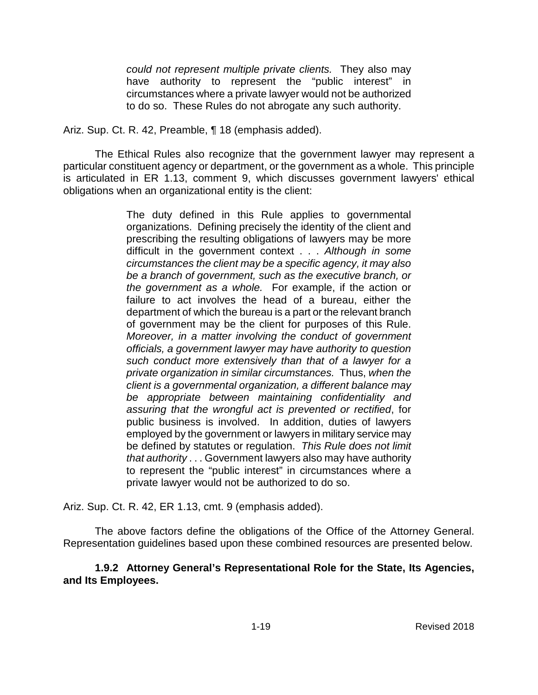*could not represent multiple private clients.* They also may have authority to represent the "public interest" in circumstances where a private lawyer would not be authorized to do so. These Rules do not abrogate any such authority.

Ariz. Sup. Ct. R. 42, Preamble, ¶ 18 (emphasis added).

The Ethical Rules also recognize that the government lawyer may represent a particular constituent agency or department, or the government as a whole. This principle is articulated in ER 1.13, comment 9, which discusses government lawyers' ethical obligations when an organizational entity is the client:

> The duty defined in this Rule applies to governmental organizations. Defining precisely the identity of the client and prescribing the resulting obligations of lawyers may be more difficult in the government context . . . *Although in some circumstances the client may be a specific agency, it may also be a branch of government, such as the executive branch, or the government as a whole.* For example, if the action or failure to act involves the head of a bureau, either the department of which the bureau is a part or the relevant branch of government may be the client for purposes of this Rule. *Moreover, in a matter involving the conduct of government officials, a government lawyer may have authority to question such conduct more extensively than that of a lawyer for a private organization in similar circumstances.* Thus, *when the client is a governmental organization, a different balance may be appropriate between maintaining confidentiality and assuring that the wrongful act is prevented or rectified*, for public business is involved. In addition, duties of lawyers employed by the government or lawyers in military service may be defined by statutes or regulation. *This Rule does not limit that authority* . . . Government lawyers also may have authority to represent the "public interest" in circumstances where a private lawyer would not be authorized to do so.

Ariz. Sup. Ct. R. 42, ER 1.13, cmt. 9 (emphasis added).

The above factors define the obligations of the Office of the Attorney General. Representation guidelines based upon these combined resources are presented below.

**1.9.2 Attorney General's Representational Role for the State, Its Agencies, and Its Employees.**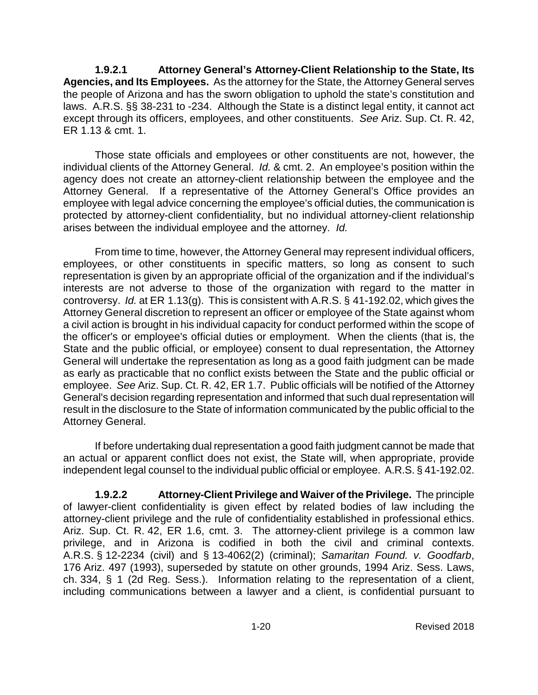**1.9.2.1 Attorney General's Attorney-Client Relationship to the State, Its Agencies, and Its Employees.** As the attorney for the State, the Attorney General serves the people of Arizona and has the sworn obligation to uphold the state's constitution and laws. A.R.S. §§ 38-231 to -234. Although the State is a distinct legal entity, it cannot act except through its officers, employees, and other constituents. *See* Ariz. Sup. Ct. R. 42, ER 1.13 & cmt. 1.

Those state officials and employees or other constituents are not, however, the individual clients of the Attorney General. *Id.* & cmt. 2. An employee's position within the agency does not create an attorney-client relationship between the employee and the Attorney General. If a representative of the Attorney General's Office provides an employee with legal advice concerning the employee's official duties, the communication is protected by attorney-client confidentiality, but no individual attorney-client relationship arises between the individual employee and the attorney. *Id.*

From time to time, however, the Attorney General may represent individual officers, employees, or other constituents in specific matters, so long as consent to such representation is given by an appropriate official of the organization and if the individual's interests are not adverse to those of the organization with regard to the matter in controversy. *Id.* at ER 1.13(g). This is consistent with A.R.S. § 41-192.02, which gives the Attorney General discretion to represent an officer or employee of the State against whom a civil action is brought in his individual capacity for conduct performed within the scope of the officer's or employee's official duties or employment. When the clients (that is, the State and the public official, or employee) consent to dual representation, the Attorney General will undertake the representation as long as a good faith judgment can be made as early as practicable that no conflict exists between the State and the public official or employee. *See* Ariz. Sup. Ct. R. 42, ER 1.7. Public officials will be notified of the Attorney General's decision regarding representation and informed that such dual representation will result in the disclosure to the State of information communicated by the public official to the Attorney General.

If before undertaking dual representation a good faith judgment cannot be made that an actual or apparent conflict does not exist, the State will, when appropriate, provide independent legal counsel to the individual public official or employee. A.R.S. § 41-192.02.

**1.9.2.2 Attorney-Client Privilege and Waiver of the Privilege.** The principle of lawyer-client confidentiality is given effect by related bodies of law including the attorney-client privilege and the rule of confidentiality established in professional ethics. Ariz. Sup. Ct. R. 42, ER 1.6, cmt. 3. The attorney-client privilege is a common law privilege, and in Arizona is codified in both the civil and criminal contexts. A.R.S. § 12-2234 (civil) and § 13-4062(2) (criminal); *Samaritan Found. v. Goodfarb*, 176 Ariz. 497 (1993), superseded by statute on other grounds, 1994 Ariz. Sess. Laws, ch. 334, § 1 (2d Reg. Sess.). Information relating to the representation of a client, including communications between a lawyer and a client, is confidential pursuant to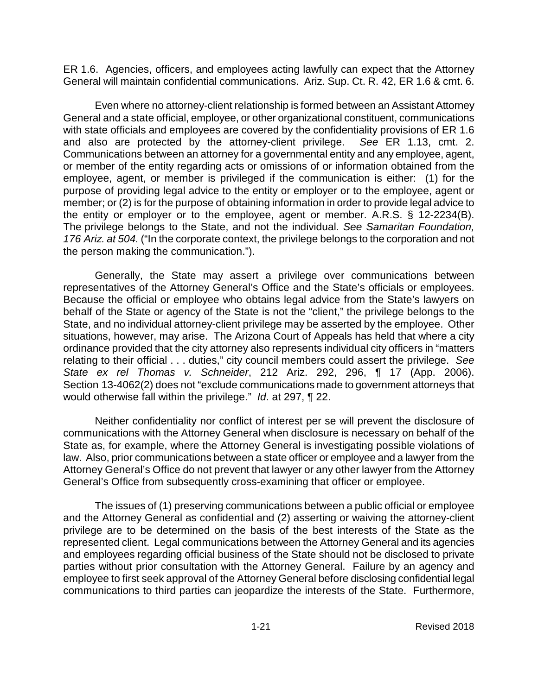ER 1.6. Agencies, officers, and employees acting lawfully can expect that the Attorney General will maintain confidential communications. Ariz. Sup. Ct. R. 42, ER 1.6 & cmt. 6.

Even where no attorney-client relationship is formed between an Assistant Attorney General and a state official, employee, or other organizational constituent, communications with state officials and employees are covered by the confidentiality provisions of ER 1.6 and also are protected by the attorney-client privilege. *See* ER 1.13, cmt. 2. Communications between an attorney for a governmental entity and any employee, agent, or member of the entity regarding acts or omissions of or information obtained from the employee, agent, or member is privileged if the communication is either: (1) for the purpose of providing legal advice to the entity or employer or to the employee, agent or member; or (2) is for the purpose of obtaining information in order to provide legal advice to the entity or employer or to the employee, agent or member. A.R.S. § 12-2234(B). The privilege belongs to the State, and not the individual. *See Samaritan Foundation, 176 Ariz. at 504.* ("In the corporate context, the privilege belongs to the corporation and not the person making the communication.").

Generally, the State may assert a privilege over communications between representatives of the Attorney General's Office and the State's officials or employees. Because the official or employee who obtains legal advice from the State's lawyers on behalf of the State or agency of the State is not the "client," the privilege belongs to the State, and no individual attorney-client privilege may be asserted by the employee. Other situations, however, may arise. The Arizona Court of Appeals has held that where a city ordinance provided that the city attorney also represents individual city officers in "matters relating to their official . . . duties," city council members could assert the privilege. *See State ex rel Thomas v. Schneider*, 212 Ariz. 292, 296, ¶ 17 (App. 2006). Section 13-4062(2) does not "exclude communications made to government attorneys that would otherwise fall within the privilege." *Id*. at 297, ¶ 22.

Neither confidentiality nor conflict of interest per se will prevent the disclosure of communications with the Attorney General when disclosure is necessary on behalf of the State as, for example, where the Attorney General is investigating possible violations of law. Also, prior communications between a state officer or employee and a lawyer from the Attorney General's Office do not prevent that lawyer or any other lawyer from the Attorney General's Office from subsequently cross-examining that officer or employee.

The issues of (1) preserving communications between a public official or employee and the Attorney General as confidential and (2) asserting or waiving the attorney-client privilege are to be determined on the basis of the best interests of the State as the represented client. Legal communications between the Attorney General and its agencies and employees regarding official business of the State should not be disclosed to private parties without prior consultation with the Attorney General. Failure by an agency and employee to first seek approval of the Attorney General before disclosing confidential legal communications to third parties can jeopardize the interests of the State. Furthermore,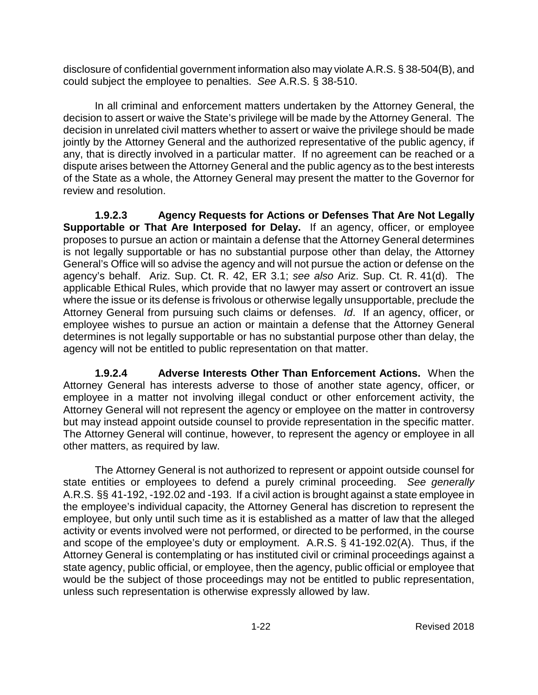disclosure of confidential government information also may violate A.R.S. § 38-504(B), and could subject the employee to penalties. *See* A.R.S. § 38-510.

In all criminal and enforcement matters undertaken by the Attorney General, the decision to assert or waive the State's privilege will be made by the Attorney General. The decision in unrelated civil matters whether to assert or waive the privilege should be made jointly by the Attorney General and the authorized representative of the public agency, if any, that is directly involved in a particular matter. If no agreement can be reached or a dispute arises between the Attorney General and the public agency as to the best interests of the State as a whole, the Attorney General may present the matter to the Governor for review and resolution.

**1.9.2.3 Agency Requests for Actions or Defenses That Are Not Legally Supportable or That Are Interposed for Delay.** If an agency, officer, or employee proposes to pursue an action or maintain a defense that the Attorney General determines is not legally supportable or has no substantial purpose other than delay, the Attorney General's Office will so advise the agency and will not pursue the action or defense on the agency's behalf. Ariz. Sup. Ct. R. 42, ER 3.1; *see also* Ariz. Sup. Ct. R. 41(d). The applicable Ethical Rules, which provide that no lawyer may assert or controvert an issue where the issue or its defense is frivolous or otherwise legally unsupportable, preclude the Attorney General from pursuing such claims or defenses. *Id*. If an agency, officer, or employee wishes to pursue an action or maintain a defense that the Attorney General determines is not legally supportable or has no substantial purpose other than delay, the agency will not be entitled to public representation on that matter.

**1.9.2.4 Adverse Interests Other Than Enforcement Actions.** When the Attorney General has interests adverse to those of another state agency, officer, or employee in a matter not involving illegal conduct or other enforcement activity, the Attorney General will not represent the agency or employee on the matter in controversy but may instead appoint outside counsel to provide representation in the specific matter. The Attorney General will continue, however, to represent the agency or employee in all other matters, as required by law.

The Attorney General is not authorized to represent or appoint outside counsel for state entities or employees to defend a purely criminal proceeding. *See generally* A.R.S. §§ 41-192, -192.02 and -193. If a civil action is brought against a state employee in the employee's individual capacity, the Attorney General has discretion to represent the employee, but only until such time as it is established as a matter of law that the alleged activity or events involved were not performed, or directed to be performed, in the course and scope of the employee's duty or employment. A.R.S. § 41-192.02(A). Thus, if the Attorney General is contemplating or has instituted civil or criminal proceedings against a state agency, public official, or employee, then the agency, public official or employee that would be the subject of those proceedings may not be entitled to public representation, unless such representation is otherwise expressly allowed by law.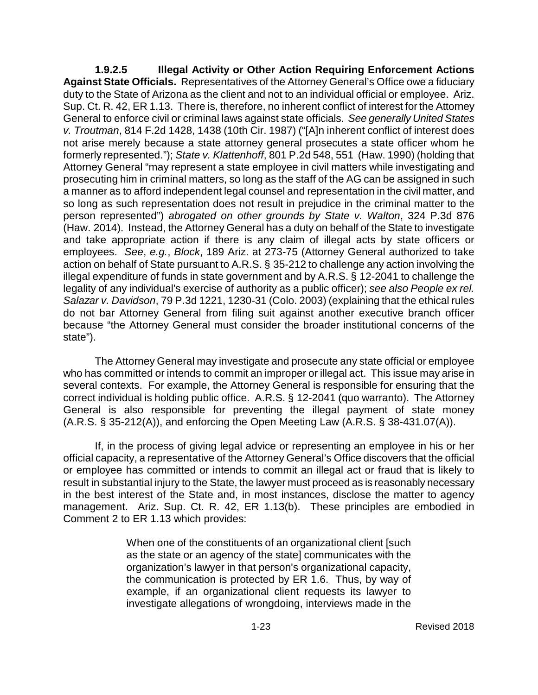**1.9.2.5 Illegal Activity or Other Action Requiring Enforcement Actions Against State Officials.** Representatives of the Attorney General's Office owe a fiduciary duty to the State of Arizona as the client and not to an individual official or employee. Ariz. Sup. Ct. R. 42, ER 1.13. There is, therefore, no inherent conflict of interest for the Attorney General to enforce civil or criminal laws against state officials. *See generally United States v. Troutman*, 814 F.2d 1428, 1438 (10th Cir. 1987) ("[A]n inherent conflict of interest does not arise merely because a state attorney general prosecutes a state officer whom he formerly represented."); *State v. Klattenhoff*, 801 P.2d 548, 551 (Haw. 1990) (holding that Attorney General "may represent a state employee in civil matters while investigating and prosecuting him in criminal matters, so long as the staff of the AG can be assigned in such a manner as to afford independent legal counsel and representation in the civil matter, and so long as such representation does not result in prejudice in the criminal matter to the person represented") *abrogated on other grounds by State v. Walton*, 324 P.3d 876 (Haw. 2014). Instead, the Attorney General has a duty on behalf of the State to investigate and take appropriate action if there is any claim of illegal acts by state officers or employees. *See*, *e.g.*, *Block*, 189 Ariz. at 273-75 (Attorney General authorized to take action on behalf of State pursuant to A.R.S. § 35-212 to challenge any action involving the illegal expenditure of funds in state government and by A.R.S. § 12-2041 to challenge the legality of any individual's exercise of authority as a public officer); *see also People ex rel. Salazar v. Davidson*, 79 P.3d 1221, 1230-31 (Colo. 2003) (explaining that the ethical rules do not bar Attorney General from filing suit against another executive branch officer because "the Attorney General must consider the broader institutional concerns of the state").

The Attorney General may investigate and prosecute any state official or employee who has committed or intends to commit an improper or illegal act. This issue may arise in several contexts. For example, the Attorney General is responsible for ensuring that the correct individual is holding public office. A.R.S. § 12-2041 (quo warranto). The Attorney General is also responsible for preventing the illegal payment of state money (A.R.S. § 35-212(A)), and enforcing the Open Meeting Law (A.R.S. § 38-431.07(A)).

If, in the process of giving legal advice or representing an employee in his or her official capacity, a representative of the Attorney General's Office discovers that the official or employee has committed or intends to commit an illegal act or fraud that is likely to result in substantial injury to the State, the lawyer must proceed as is reasonably necessary in the best interest of the State and, in most instances, disclose the matter to agency management. Ariz. Sup. Ct. R. 42, ER 1.13(b). These principles are embodied in Comment 2 to ER 1.13 which provides:

> When one of the constituents of an organizational client [such] as the state or an agency of the state] communicates with the organization's lawyer in that person's organizational capacity, the communication is protected by ER 1.6. Thus, by way of example, if an organizational client requests its lawyer to investigate allegations of wrongdoing, interviews made in the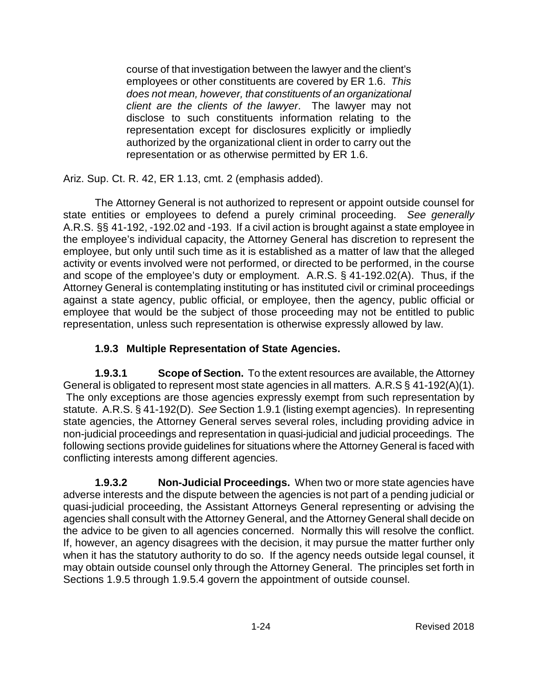course of that investigation between the lawyer and the client's employees or other constituents are covered by ER 1.6. *This does not mean, however, that constituents of an organizational client are the clients of the lawyer*. The lawyer may not disclose to such constituents information relating to the representation except for disclosures explicitly or impliedly authorized by the organizational client in order to carry out the representation or as otherwise permitted by ER 1.6.

Ariz. Sup. Ct. R. 42, ER 1.13, cmt. 2 (emphasis added).

The Attorney General is not authorized to represent or appoint outside counsel for state entities or employees to defend a purely criminal proceeding. *See generally* A.R.S. §§ 41-192, -192.02 and -193. If a civil action is brought against a state employee in the employee's individual capacity, the Attorney General has discretion to represent the employee, but only until such time as it is established as a matter of law that the alleged activity or events involved were not performed, or directed to be performed, in the course and scope of the employee's duty or employment. A.R.S. § 41-192.02(A). Thus, if the Attorney General is contemplating instituting or has instituted civil or criminal proceedings against a state agency, public official, or employee, then the agency, public official or employee that would be the subject of those proceeding may not be entitled to public representation, unless such representation is otherwise expressly allowed by law.

## **1.9.3 Multiple Representation of State Agencies.**

**1.9.3.1 Scope of Section.** To the extent resources are available, the Attorney General is obligated to represent most state agencies in all matters. A.R.S § 41-192(A)(1). The only exceptions are those agencies expressly exempt from such representation by statute. A.R.S. § 41-192(D). *See* Section 1.9.1 (listing exempt agencies). In representing state agencies, the Attorney General serves several roles, including providing advice in non-judicial proceedings and representation in quasi-judicial and judicial proceedings. The following sections provide guidelines for situations where the Attorney General is faced with conflicting interests among different agencies.

**1.9.3.2 Non-Judicial Proceedings.** When two or more state agencies have adverse interests and the dispute between the agencies is not part of a pending judicial or quasi-judicial proceeding, the Assistant Attorneys General representing or advising the agencies shall consult with the Attorney General, and the Attorney General shall decide on the advice to be given to all agencies concerned. Normally this will resolve the conflict. If, however, an agency disagrees with the decision, it may pursue the matter further only when it has the statutory authority to do so. If the agency needs outside legal counsel, it may obtain outside counsel only through the Attorney General. The principles set forth in Sections 1.9.5 through 1.9.5.4 govern the appointment of outside counsel.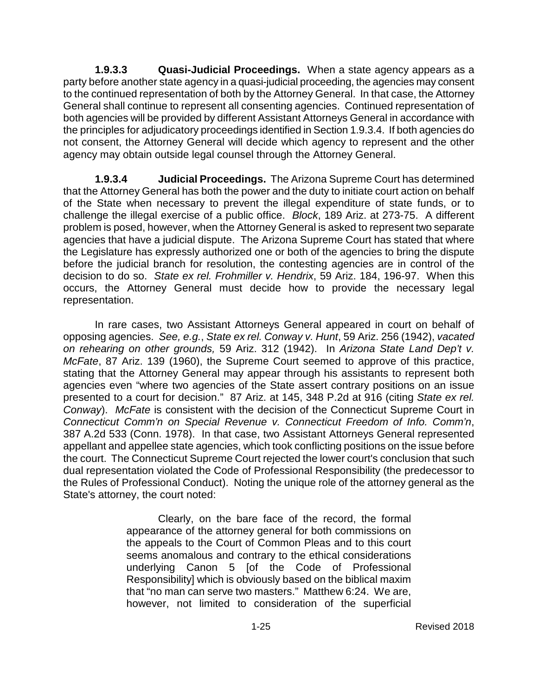**1.9.3.3 Quasi-Judicial Proceedings.** When a state agency appears as a party before another state agency in a quasi-judicial proceeding, the agencies may consent to the continued representation of both by the Attorney General. In that case, the Attorney General shall continue to represent all consenting agencies. Continued representation of both agencies will be provided by different Assistant Attorneys General in accordance with the principles for adjudicatory proceedings identified in Section 1.9.3.4. If both agencies do not consent, the Attorney General will decide which agency to represent and the other agency may obtain outside legal counsel through the Attorney General.

**1.9.3.4 Judicial Proceedings.** The Arizona Supreme Court has determined that the Attorney General has both the power and the duty to initiate court action on behalf of the State when necessary to prevent the illegal expenditure of state funds, or to challenge the illegal exercise of a public office. *Block*, 189 Ariz. at 273-75. A different problem is posed, however, when the Attorney General is asked to represent two separate agencies that have a judicial dispute. The Arizona Supreme Court has stated that where the Legislature has expressly authorized one or both of the agencies to bring the dispute before the judicial branch for resolution, the contesting agencies are in control of the decision to do so. *State ex rel. Frohmiller v. Hendrix*, 59 Ariz. 184, 196-97. When this occurs, the Attorney General must decide how to provide the necessary legal representation.

In rare cases, two Assistant Attorneys General appeared in court on behalf of opposing agencies. *See, e.g.*, *State ex rel. Conway v. Hunt*, 59 Ariz. 256 (1942), *vacated on rehearing on other grounds,* 59 Ariz. 312 (1942). In *Arizona State Land Dep't v. McFate*, 87 Ariz. 139 (1960), the Supreme Court seemed to approve of this practice, stating that the Attorney General may appear through his assistants to represent both agencies even "where two agencies of the State assert contrary positions on an issue presented to a court for decision." 87 Ariz. at 145, 348 P.2d at 916 (citing *State ex rel. Conway*). *McFate* is consistent with the decision of the Connecticut Supreme Court in *Connecticut Comm'n on Special Revenue v. Connecticut Freedom of Info. Comm'n*, 387 A.2d 533 (Conn. 1978). In that case, two Assistant Attorneys General represented appellant and appellee state agencies, which took conflicting positions on the issue before the court. The Connecticut Supreme Court rejected the lower court's conclusion that such dual representation violated the Code of Professional Responsibility (the predecessor to the Rules of Professional Conduct). Noting the unique role of the attorney general as the State's attorney, the court noted:

> Clearly, on the bare face of the record, the formal appearance of the attorney general for both commissions on the appeals to the Court of Common Pleas and to this court seems anomalous and contrary to the ethical considerations underlying Canon 5 [of the Code of Professional Responsibility] which is obviously based on the biblical maxim that "no man can serve two masters." Matthew 6:24. We are, however, not limited to consideration of the superficial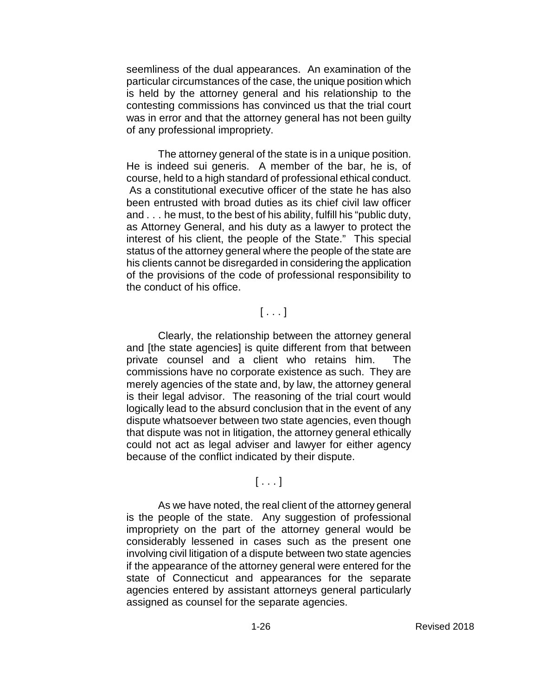seemliness of the dual appearances. An examination of the particular circumstances of the case, the unique position which is held by the attorney general and his relationship to the contesting commissions has convinced us that the trial court was in error and that the attorney general has not been guilty of any professional impropriety.

The attorney general of the state is in a unique position. He is indeed sui generis. A member of the bar, he is, of course, held to a high standard of professional ethical conduct. As a constitutional executive officer of the state he has also been entrusted with broad duties as its chief civil law officer and . . . he must, to the best of his ability, fulfill his "public duty, as Attorney General, and his duty as a lawyer to protect the interest of his client, the people of the State." This special status of the attorney general where the people of the state are his clients cannot be disregarded in considering the application of the provisions of the code of professional responsibility to the conduct of his office.

#### [ . . . ]

Clearly, the relationship between the attorney general and [the state agencies] is quite different from that between private counsel and a client who retains him. The commissions have no corporate existence as such. They are merely agencies of the state and, by law, the attorney general is their legal advisor. The reasoning of the trial court would logically lead to the absurd conclusion that in the event of any dispute whatsoever between two state agencies, even though that dispute was not in litigation, the attorney general ethically could not act as legal adviser and lawyer for either agency because of the conflict indicated by their dispute.

#### $[ . . . 1]$

As we have noted, the real client of the attorney general is the people of the state. Any suggestion of professional impropriety on the part of the attorney general would be considerably lessened in cases such as the present one involving civil litigation of a dispute between two state agencies if the appearance of the attorney general were entered for the state of Connecticut and appearances for the separate agencies entered by assistant attorneys general particularly assigned as counsel for the separate agencies.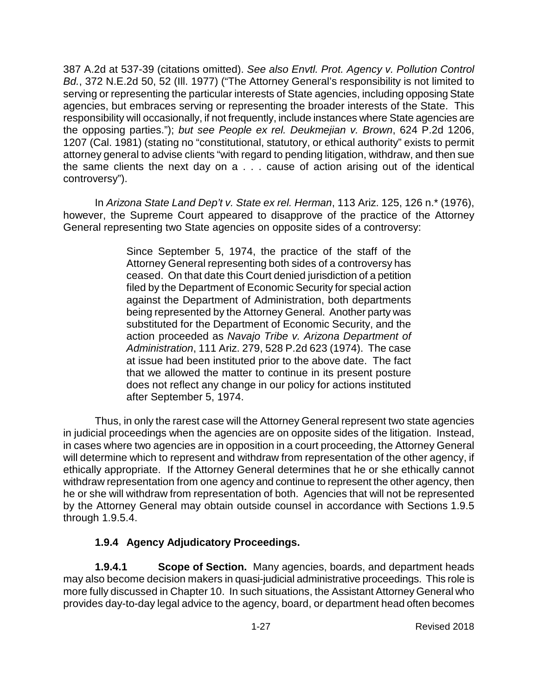387 A.2d at 537-39 (citations omitted). *See also Envtl. Prot. Agency v. Pollution Control Bd.*, 372 N.E.2d 50, 52 (Ill. 1977) ("The Attorney General's responsibility is not limited to serving or representing the particular interests of State agencies, including opposing State agencies, but embraces serving or representing the broader interests of the State. This responsibility will occasionally, if not frequently, include instances where State agencies are the opposing parties."); *but see People ex rel. Deukmejian v. Brown*, 624 P.2d 1206, 1207 (Cal. 1981) (stating no "constitutional, statutory, or ethical authority" exists to permit attorney general to advise clients "with regard to pending litigation, withdraw, and then sue the same clients the next day on a . . . cause of action arising out of the identical controversy").

In *Arizona State Land Dep't v. State ex rel. Herman*, 113 Ariz. 125, 126 n.\* (1976), however, the Supreme Court appeared to disapprove of the practice of the Attorney General representing two State agencies on opposite sides of a controversy:

> Since September 5, 1974, the practice of the staff of the Attorney General representing both sides of a controversy has ceased. On that date this Court denied jurisdiction of a petition filed by the Department of Economic Security for special action against the Department of Administration, both departments being represented by the Attorney General. Another party was substituted for the Department of Economic Security, and the action proceeded as *Navajo Tribe v. Arizona Department of Administration*, 111 Ariz. 279, 528 P.2d 623 (1974). The case at issue had been instituted prior to the above date. The fact that we allowed the matter to continue in its present posture does not reflect any change in our policy for actions instituted after September 5, 1974.

Thus, in only the rarest case will the Attorney General represent two state agencies in judicial proceedings when the agencies are on opposite sides of the litigation. Instead, in cases where two agencies are in opposition in a court proceeding, the Attorney General will determine which to represent and withdraw from representation of the other agency, if ethically appropriate. If the Attorney General determines that he or she ethically cannot withdraw representation from one agency and continue to represent the other agency, then he or she will withdraw from representation of both. Agencies that will not be represented by the Attorney General may obtain outside counsel in accordance with Sections 1.9.5 through 1.9.5.4.

## **1.9.4 Agency Adjudicatory Proceedings.**

**1.9.4.1 Scope of Section.** Many agencies, boards, and department heads may also become decision makers in quasi-judicial administrative proceedings. This role is more fully discussed in Chapter 10. In such situations, the Assistant Attorney General who provides day-to-day legal advice to the agency, board, or department head often becomes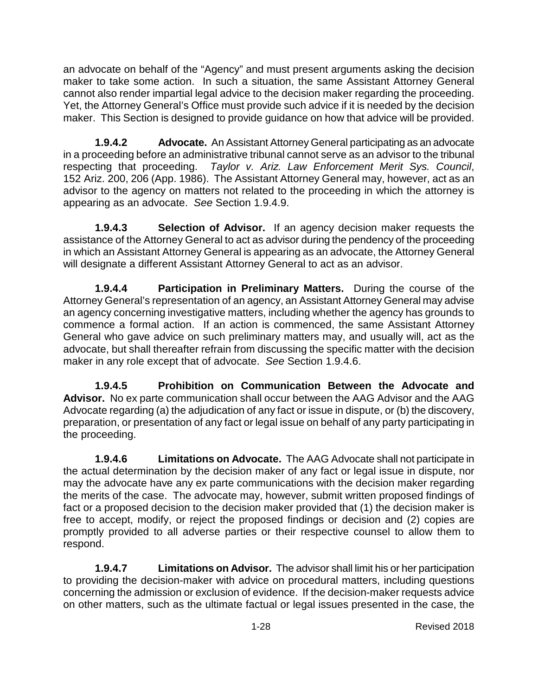an advocate on behalf of the "Agency" and must present arguments asking the decision maker to take some action. In such a situation, the same Assistant Attorney General cannot also render impartial legal advice to the decision maker regarding the proceeding. Yet, the Attorney General's Office must provide such advice if it is needed by the decision maker. This Section is designed to provide guidance on how that advice will be provided.

**1.9.4.2 Advocate.** An Assistant Attorney General participating as an advocate in a proceeding before an administrative tribunal cannot serve as an advisor to the tribunal respecting that proceeding. *Taylor v. Ariz. Law Enforcement Merit Sys. Council*, 152 Ariz. 200, 206 (App. 1986). The Assistant Attorney General may, however, act as an advisor to the agency on matters not related to the proceeding in which the attorney is appearing as an advocate. *See* Section 1.9.4.9.

**1.9.4.3 Selection of Advisor.** If an agency decision maker requests the assistance of the Attorney General to act as advisor during the pendency of the proceeding in which an Assistant Attorney General is appearing as an advocate, the Attorney General will designate a different Assistant Attorney General to act as an advisor.

**1.9.4.4 Participation in Preliminary Matters.** During the course of the Attorney General's representation of an agency, an Assistant Attorney General may advise an agency concerning investigative matters, including whether the agency has grounds to commence a formal action. If an action is commenced, the same Assistant Attorney General who gave advice on such preliminary matters may, and usually will, act as the advocate, but shall thereafter refrain from discussing the specific matter with the decision maker in any role except that of advocate. *See* Section 1.9.4.6.

**1.9.4.5 Prohibition on Communication Between the Advocate and Advisor.** No ex parte communication shall occur between the AAG Advisor and the AAG Advocate regarding (a) the adjudication of any fact or issue in dispute, or (b) the discovery, preparation, or presentation of any fact or legal issue on behalf of any party participating in the proceeding.

**1.9.4.6 Limitations on Advocate.** The AAG Advocate shall not participate in the actual determination by the decision maker of any fact or legal issue in dispute, nor may the advocate have any ex parte communications with the decision maker regarding the merits of the case. The advocate may, however, submit written proposed findings of fact or a proposed decision to the decision maker provided that (1) the decision maker is free to accept, modify, or reject the proposed findings or decision and (2) copies are promptly provided to all adverse parties or their respective counsel to allow them to respond.

**1.9.4.7 Limitations on Advisor.** The advisor shall limit his or her participation to providing the decision-maker with advice on procedural matters, including questions concerning the admission or exclusion of evidence. If the decision-maker requests advice on other matters, such as the ultimate factual or legal issues presented in the case, the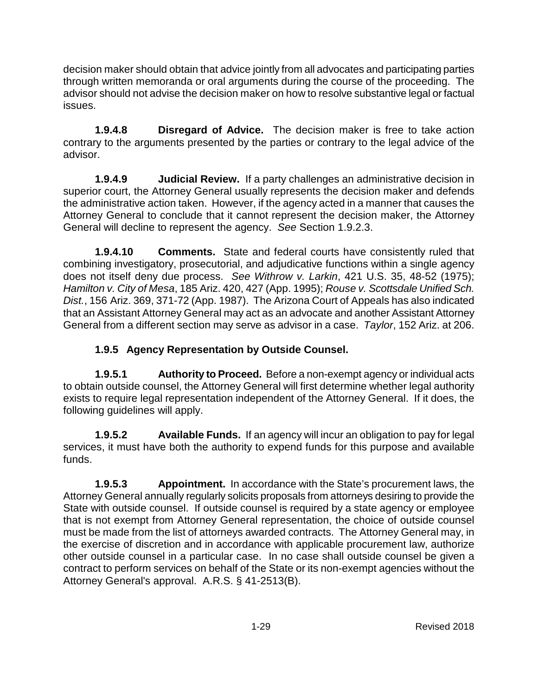decision maker should obtain that advice jointly from all advocates and participating parties through written memoranda or oral arguments during the course of the proceeding. The advisor should not advise the decision maker on how to resolve substantive legal or factual issues.

**1.9.4.8 Disregard of Advice.** The decision maker is free to take action contrary to the arguments presented by the parties or contrary to the legal advice of the advisor.

**1.9.4.9 Judicial Review.** If a party challenges an administrative decision in superior court, the Attorney General usually represents the decision maker and defends the administrative action taken. However, if the agency acted in a manner that causes the Attorney General to conclude that it cannot represent the decision maker, the Attorney General will decline to represent the agency. *See* Section 1.9.2.3.

**1.9.4.10 Comments.** State and federal courts have consistently ruled that combining investigatory, prosecutorial, and adjudicative functions within a single agency does not itself deny due process. *See Withrow v. Larkin*, 421 U.S. 35, 48-52 (1975); *Hamilton v. City of Mesa*, 185 Ariz. 420, 427 (App. 1995); *Rouse v. Scottsdale Unified Sch. Dist.*, 156 Ariz. 369, 371-72 (App. 1987). The Arizona Court of Appeals has also indicated that an Assistant Attorney General may act as an advocate and another Assistant Attorney General from a different section may serve as advisor in a case. *Taylor*, 152 Ariz. at 206.

# **1.9.5 Agency Representation by Outside Counsel.**

**1.9.5.1 Authority to Proceed.** Before a non-exempt agency or individual acts to obtain outside counsel, the Attorney General will first determine whether legal authority exists to require legal representation independent of the Attorney General. If it does, the following guidelines will apply.

**1.9.5.2 Available Funds.** If an agency will incur an obligation to pay for legal services, it must have both the authority to expend funds for this purpose and available funds.

**1.9.5.3 Appointment.** In accordance with the State's procurement laws, the Attorney General annually regularly solicits proposals from attorneys desiring to provide the State with outside counsel. If outside counsel is required by a state agency or employee that is not exempt from Attorney General representation, the choice of outside counsel must be made from the list of attorneys awarded contracts. The Attorney General may, in the exercise of discretion and in accordance with applicable procurement law, authorize other outside counsel in a particular case. In no case shall outside counsel be given a contract to perform services on behalf of the State or its non-exempt agencies without the Attorney General's approval. A.R.S. § 41-2513(B).